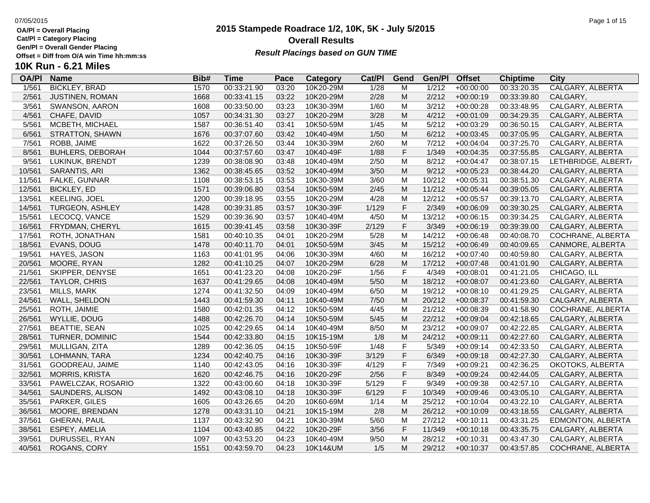**Cat/Pl = Category Placing**

**Gen/Pl = Overall Gender Placing**

## **10K Run - 6.21 Miles**

| <b>OA/PI</b> | <b>Name</b>             | Bib# | <b>Time</b> | Pace  | <b>Category</b> | Cat/Pl | Gend        | Gen/Pl | <b>Offset</b> | <b>Chiptime</b> | <b>City</b>             |
|--------------|-------------------------|------|-------------|-------|-----------------|--------|-------------|--------|---------------|-----------------|-------------------------|
| 1/561        | <b>BICKLEY, BRAD</b>    | 1570 | 00:33:21.90 | 03:20 | 10K20-29M       | 1/28   | M           | 1/212  | $+00:00:00$   | 00:33:20.35     | <b>CALGARY, ALBERTA</b> |
| 2/561        | JUSTINEN, ROMAN         | 1668 | 00:33:41.15 | 03:22 | 10K20-29M       | 2/28   | M           | 2/212  | $+00:00:19$   | 00:33:39.80     | CALGARY,                |
| 3/561        | SWANSON, AARON          | 1608 | 00:33:50.00 | 03:23 | 10K30-39M       | 1/60   | M           | 3/212  | $+00:00:28$   | 00:33:48.95     | CALGARY, ALBERTA        |
| 4/561        | CHAFE, DAVID            | 1057 | 00:34:31.30 | 03:27 | 10K20-29M       | 3/28   | M           | 4/212  | $+00:01:09$   | 00:34:29.35     | CALGARY, ALBERTA        |
| 5/561        | MCBETH, MICHAEL         | 1587 | 00:36:51.40 | 03:41 | 10K50-59M       | 1/45   | M           | 5/212  | $+00:03:29$   | 00:36:50.15     | CALGARY, ALBERTA        |
| 6/561        | STRATTON, SHAWN         | 1676 | 00:37:07.60 | 03:42 | 10K40-49M       | 1/50   | M           | 6/212  | $+00:03:45$   | 00:37:05.95     | CALGARY, ALBERTA        |
| 7/561        | ROBB, JAIME             | 1622 | 00:37:26.50 | 03:44 | 10K30-39M       | 2/60   | M           | 7/212  | $+00:04:04$   | 00:37:25.70     | CALGARY, ALBERTA        |
| 8/561        | <b>BUHLERS, DEBORAH</b> | 1044 | 00:37:57.60 | 03:47 | 10K40-49F       | 1/88   | $\mathsf F$ | 1/349  | $+00:04:35$   | 00:37:55.85     | CALGARY, ALBERTA        |
| 9/561        | LUKINUK, BRENDT         | 1239 | 00:38:08.90 | 03:48 | 10K40-49M       | 2/50   | M           | 8/212  | $+00:04:47$   | 00:38:07.15     | LETHBRIDGE, ALBERT/     |
| 10/561       | SARANTIS, ARI           | 1362 | 00:38:45.65 | 03:52 | 10K40-49M       | 3/50   | M           | 9/212  | $+00:05:23$   | 00:38:44.20     | CALGARY, ALBERTA        |
| 11/561       | FALKE, GUNNAR           | 1108 | 00:38:53.15 | 03:53 | 10K30-39M       | 3/60   | M           | 10/212 | $+00:05:31$   | 00:38:51.30     | CALGARY, ALBERTA        |
| 12/561       | <b>BICKLEY, ED</b>      | 1571 | 00:39:06.80 | 03:54 | 10K50-59M       | 2/45   | M           | 11/212 | $+00:05:44$   | 00:39:05.05     | CALGARY, ALBERTA        |
| 13/561       | <b>KEELING, JOEL</b>    | 1200 | 00:39:18.95 | 03:55 | 10K20-29M       | 4/28   | M           | 12/212 | $+00:05:57$   | 00:39:13.70     | CALGARY, ALBERTA        |
| 14/561       | <b>TURGEON, ASHLEY</b>  | 1428 | 00:39:31.85 | 03:57 | 10K30-39F       | 1/129  | $\mathsf F$ | 2/349  | $+00:06:09$   | 00:39:30.25     | CALGARY, ALBERTA        |
| 15/561       | LECOCQ, VANCE           | 1529 | 00:39:36.90 | 03:57 | 10K40-49M       | 4/50   | M           | 13/212 | $+00:06:15$   | 00:39:34.25     | CALGARY, ALBERTA        |
| 16/561       | FRYDMAN, CHERYL         | 1615 | 00:39:41.45 | 03:58 | 10K30-39F       | 2/129  | $\mathsf F$ | 3/349  | $+00:06:19$   | 00:39:39.00     | CALGARY, ALBERTA        |
| 17/561       | ROTH, JONATHAN          | 1581 | 00:40:10.35 | 04:01 | 10K20-29M       | 5/28   | M           | 14/212 | $+00:06:48$   | 00:40:08.70     | COCHRANE, ALBERTA       |
| 18/561       | EVANS, DOUG             | 1478 | 00:40:11.70 | 04:01 | 10K50-59M       | 3/45   | M           | 15/212 | $+00:06:49$   | 00:40:09.65     | CANMORE, ALBERTA        |
| 19/561       | HAYES, JASON            | 1163 | 00:41:01.95 | 04:06 | 10K30-39M       | 4/60   | M           | 16/212 | $+00:07:40$   | 00:40:59.80     | CALGARY, ALBERTA        |
| 20/561       | MOORE, RYAN             | 1282 | 00:41:10.25 | 04:07 | 10K20-29M       | 6/28   | M           | 17/212 | $+00:07:48$   | 00:41:01.90     | CALGARY, ALBERTA        |
| 21/561       | SKIPPER, DENYSE         | 1651 | 00:41:23.20 | 04:08 | 10K20-29F       | 1/56   | F           | 4/349  | $+00:08:01$   | 00:41:21.05     | CHICAGO, ILL            |
| 22/561       | TAYLOR, CHRIS           | 1637 | 00:41:29.65 | 04:08 | 10K40-49M       | 5/50   | M           | 18/212 | $+00:08:07$   | 00:41:23.60     | CALGARY, ALBERTA        |
| 23/561       | <b>MILLS, MARK</b>      | 1274 | 00:41:32.50 | 04:09 | 10K40-49M       | 6/50   | M           | 19/212 | $+00:08:10$   | 00:41:29.25     | CALGARY, ALBERTA        |
| 24/561       | WALL, SHELDON           | 1443 | 00:41:59.30 | 04:11 | 10K40-49M       | 7/50   | M           | 20/212 | $+00:08:37$   | 00:41:59.30     | CALGARY, ALBERTA        |
| 25/561       | ROTH, JAIMIE            | 1580 | 00:42:01.35 | 04:12 | 10K50-59M       | 4/45   | M           | 21/212 | $+00:08:39$   | 00:41:58.90     | COCHRANE, ALBERTA       |
| 26/561       | WYLLIE, DOUG            | 1488 | 00:42:26.70 | 04:14 | 10K50-59M       | 5/45   | M           | 22/212 | $+00:09:04$   | 00:42:18.65     | CALGARY, ALBERTA        |
| 27/561       | <b>BEATTIE, SEAN</b>    | 1025 | 00:42:29.65 | 04:14 | 10K40-49M       | 8/50   | M           | 23/212 | $+00:09:07$   | 00:42:22.85     | CALGARY, ALBERTA        |
| 28/561       | TURNER, DOMINIC         | 1544 | 00:42:33.80 | 04:15 | 10K15-19M       | 1/8    | M           | 24/212 | $+00:09:11$   | 00:42:27.60     | CALGARY, ALBERTA        |
| 29/561       | MULLIGAN, ZITA          | 1289 | 00:42:36.05 | 04:15 | 10K50-59F       | 1/48   | F           | 5/349  | $+00:09:14$   | 00:42:33.50     | CALGARY, ALBERTA        |
| 30/561       | LOHMANN, TARA           | 1234 | 00:42:40.75 | 04:16 | 10K30-39F       | 3/129  | $\mathsf F$ | 6/349  | $+00:09:18$   | 00:42:27.30     | CALGARY, ALBERTA        |
| 31/561       | GOODREAU, JAIME         | 1140 | 00:42:43.05 | 04:16 | 10K30-39F       | 4/129  | F           | 7/349  | $+00:09:21$   | 00:42:36.25     | OKOTOKS, ALBERTA        |
| 32/561       | <b>MORRIS, KRISTA</b>   | 1620 | 00:42:46.75 | 04:16 | 10K20-29F       | 2/56   | F           | 8/349  | $+00:09:24$   | 00:42:44.05     | CALGARY, ALBERTA        |
| 33/561       | PAWELCZAK, ROSARIO      | 1322 | 00:43:00.60 | 04:18 | 10K30-39F       | 5/129  | F           | 9/349  | $+00:09:38$   | 00:42:57.10     | CALGARY, ALBERTA        |
| 34/561       | SAUNDERS, ALISON        | 1492 | 00:43:08.10 | 04:18 | 10K30-39F       | 6/129  | $\mathsf F$ | 10/349 | $+00:09:46$   | 00:43:05.10     | CALGARY, ALBERTA        |
| 35/561       | PARKER, GILES           | 1605 | 00:43:26.65 | 04:20 | 10K60-69M       | 1/14   | M           | 25/212 | $+00:10:04$   | 00:43:22.10     | CALGARY, ALBERTA        |
| 36/561       | MOORE, BRENDAN          | 1278 | 00:43:31.10 | 04:21 | 10K15-19M       | 2/8    | M           | 26/212 | $+00:10:09$   | 00:43:18.55     | CALGARY, ALBERTA        |
| 37/561       | <b>GHERAN, PAUL</b>     | 1137 | 00:43:32.90 | 04:21 | 10K30-39M       | 5/60   | M           | 27/212 | $+00:10:11$   | 00:43:31.25     | EDMONTON, ALBERTA       |
| 38/561       | ESPEY, AMELIA           | 1104 | 00:43:40.85 | 04:22 | 10K20-29F       | 3/56   | F           | 11/349 | $+00:10:18$   | 00:43:35.75     | CALGARY, ALBERTA        |
| 39/561       | DURUSSEL, RYAN          | 1097 | 00:43:53.20 | 04:23 | 10K40-49M       | 9/50   | M           | 28/212 | $+00:10:31$   | 00:43:47.30     | CALGARY, ALBERTA        |
| 40/561       | ROGANS, CORY            | 1551 | 00:43:59.70 | 04:23 | 10K14&UM        | 1/5    | M           | 29/212 | $+00:10:37$   | 00:43:57.85     | COCHRANE, ALBERTA       |

### **2015 Stampede Roadrace 1/2, 10K, 5K - July 5/2015** 07/05/2015 Page 1 of 15 **Overall Results Result Placings based on GUN TIME**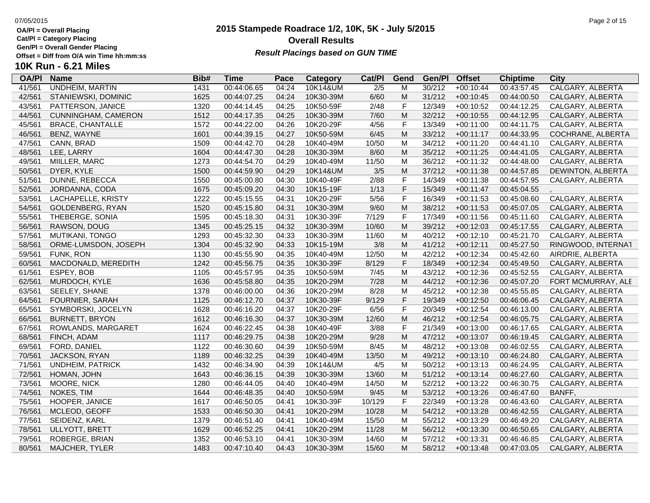**Cat/Pl = Category Placing**

**Gen/Pl = Overall Gender Placing**

## **10K Run - 6.21 Miles**

| <b>OA/PI</b> | <b>Name</b>             | Bib# | <b>Time</b> | Pace  | <b>Category</b> | Cat/PI           | Gend        | Gen/Pl | <b>Offset</b> | <b>Chiptime</b> | City               |
|--------------|-------------------------|------|-------------|-------|-----------------|------------------|-------------|--------|---------------|-----------------|--------------------|
| 41/561       | <b>UNDHEIM, MARTIN</b>  | 1431 | 00:44:06.65 | 04:24 | 10K14&UM        | $\overline{2/5}$ | M           | 30/212 | $+00:10:44$   | 00:43:57.45     | CALGARY, ALBERTA   |
| 42/561       | STANIEWSKI, DOMINIC     | 1625 | 00:44:07.25 | 04:24 | 10K30-39M       | 6/60             | M           | 31/212 | $+00:10:45$   | 00:44:00.50     | CALGARY, ALBERTA   |
| 43/561       | PATTERSON, JANICE       | 1320 | 00:44:14.45 | 04:25 | 10K50-59F       | 2/48             | F           | 12/349 | $+00:10:52$   | 00:44:12.25     | CALGARY, ALBERTA   |
| 44/561       | CUNNINGHAM, CAMERON     | 1512 | 00:44:17.35 | 04:25 | 10K30-39M       | 7/60             | M           | 32/212 | $+00:10:55$   | 00:44:12.95     | CALGARY, ALBERTA   |
| 45/561       | <b>BRACE, CHANTALLE</b> | 1572 | 00:44:22.00 | 04:26 | 10K20-29F       | 4/56             | $\mathsf F$ | 13/349 | $+00:11:00$   | 00:44:11.75     | CALGARY, ALBERTA   |
| 46/561       | BENZ, WAYNE             | 1601 | 00:44:39.15 | 04:27 | 10K50-59M       | 6/45             | M           | 33/212 | $+00:11:17$   | 00:44:33.95     | COCHRANE, ALBERTA  |
| 47/561       | CANN, BRAD              | 1509 | 00:44:42.70 | 04:28 | 10K40-49M       | 10/50            | M           | 34/212 | $+00:11:20$   | 00:44:41.10     | CALGARY, ALBERTA   |
| 48/561       | LEE, LARRY              | 1604 | 00:44:47.30 | 04:28 | 10K30-39M       | 8/60             | M           | 35/212 | $+00:11:25$   | 00:44:41.05     | CALGARY, ALBERTA   |
| 49/561       | MIILLER, MARC           | 1273 | 00:44:54.70 | 04:29 | 10K40-49M       | 11/50            | M           | 36/212 | $+00:11:32$   | 00:44:48.00     | CALGARY, ALBERTA   |
| 50/561       | DYER, KYLE              | 1500 | 00:44:59.90 | 04:29 | 10K14&UM        | 3/5              | M           | 37/212 | $+00:11:38$   | 00:44:57.85     | DEWINTON, ALBERTA  |
| 51/561       | DUNNE, REBECCA          | 1550 | 00:45:00.80 | 04:30 | 10K40-49F       | 2/88             | F           | 14/349 | $+00:11:38$   | 00:44:57.95     | CALGARY, ALBERTA   |
| 52/561       | JORDANNA, CODA          | 1675 | 00:45:09.20 | 04:30 | 10K15-19F       | 1/13             | $\mathsf F$ | 15/349 | $+00:11:47$   | 00:45:04.55     |                    |
| 53/561       | LACHAPELLE, KRISTY      | 1222 | 00:45:15.55 | 04:31 | 10K20-29F       | 5/56             | $\mathsf F$ | 16/349 | $+00:11:53$   | 00:45:08.60     | CALGARY, ALBERTA   |
| 54/561       | GOLDENBERG, RYAN        | 1520 | 00:45:15.80 | 04:31 | 10K30-39M       | 9/60             | M           | 38/212 | $+00:11:53$   | 00:45:07.05     | CALGARY, ALBERTA   |
| 55/561       | THEBERGE, SONIA         | 1595 | 00:45:18.30 | 04:31 | 10K30-39F       | 7/129            | F           | 17/349 | $+00:11:56$   | 00:45:11.60     | CALGARY, ALBERTA   |
| 56/561       | RAWSON, DOUG            | 1345 | 00:45:25.15 | 04:32 | 10K30-39M       | 10/60            | M           | 39/212 | $+00:12:03$   | 00:45:17.55     | CALGARY, ALBERTA   |
| 57/561       | MUTIKANI, TONGO         | 1293 | 00:45:32.30 | 04:33 | 10K30-39M       | 11/60            | M           | 40/212 | $+00:12:10$   | 00:45:21.70     | CALGARY, ALBERTA   |
| 58/561       | ORME-LUMSDON, JOSEPH    | 1304 | 00:45:32.90 | 04:33 | 10K15-19M       | 3/8              | M           | 41/212 | $+00:12:11$   | 00:45:27.50     | RINGWOOD, INTERNAT |
| 59/561       | FUNK, RON               | 1130 | 00:45:55.90 | 04:35 | 10K40-49M       | 12/50            | M           | 42/212 | $+00:12:34$   | 00:45:42.60     | AIRDRIE, ALBERTA   |
| 60/561       | MACDONALD, MEREDITH     | 1242 | 00:45:56.75 | 04:35 | 10K30-39F       | 8/129            | F           | 18/349 | $+00:12:34$   | 00:45:49.50     | CALGARY, ALBERTA   |
| 61/561       | ESPEY, BOB              | 1105 | 00:45:57.95 | 04:35 | 10K50-59M       | 7/45             | M           | 43/212 | $+00:12:36$   | 00:45:52.55     | CALGARY, ALBERTA   |
| 62/561       | MURDOCH, KYLE           | 1636 | 00:45:58.80 | 04:35 | 10K20-29M       | 7/28             | M           | 44/212 | $+00:12:36$   | 00:45:07.20     | FORT MCMURRAY, ALE |
| 63/561       | SEELEY, SHANE           | 1378 | 00:46:00.00 | 04:36 | 10K20-29M       | 8/28             | M           | 45/212 | $+00:12:38$   | 00:45:55.85     | CALGARY, ALBERTA   |
| 64/561       | FOURNIER, SARAH         | 1125 | 00:46:12.70 | 04:37 | 10K30-39F       | 9/129            | $\mathsf F$ | 19/349 | $+00:12:50$   | 00:46:06.45     | CALGARY, ALBERTA   |
| 65/561       | SYMBORSKI, JOCELYN      | 1628 | 00:46:16.20 | 04:37 | 10K20-29F       | 6/56             | $\mathsf F$ | 20/349 | $+00:12:54$   | 00:46:13.00     | CALGARY, ALBERTA   |
| 66/561       | <b>BURNETT, BRYON</b>   | 1612 | 00:46:16.30 | 04:37 | 10K30-39M       | 12/60            | M           | 46/212 | $+00:12:54$   | 00:46:05.75     | CALGARY, ALBERTA   |
| 67/561       | ROWLANDS, MARGARET      | 1624 | 00:46:22.45 | 04:38 | 10K40-49F       | 3/88             | $\mathsf F$ | 21/349 | $+00:13:00$   | 00:46:17.65     | CALGARY, ALBERTA   |
| 68/561       | FINCH, ADAM             | 1117 | 00:46:29.75 | 04:38 | 10K20-29M       | 9/28             | M           | 47/212 | $+00:13:07$   | 00:46:19.45     | CALGARY, ALBERTA   |
| 69/561       | FORD, DANIEL            | 1122 | 00:46:30.60 | 04:39 | 10K50-59M       | 8/45             | M           | 48/212 | $+00:13:08$   | 00:46:02.55     | CALGARY, ALBERTA   |
| 70/561       | JACKSON, RYAN           | 1189 | 00:46:32.25 | 04:39 | 10K40-49M       | 13/50            | M           | 49/212 | $+00:13:10$   | 00:46:24.80     | CALGARY, ALBERTA   |
| 71/561       | <b>UNDHEIM, PATRICK</b> | 1432 | 00:46:34.90 | 04:39 | 10K14&UM        | 4/5              | M           | 50/212 | $+00:13:13$   | 00:46:24.95     | CALGARY, ALBERTA   |
| 72/561       | HOMAN, JOHN             | 1643 | 00:46:36.15 | 04:39 | 10K30-39M       | 13/60            | M           | 51/212 | $+00:13:14$   | 00:46:27.60     | CALGARY, ALBERTA   |
| 73/561       | MOORE, NICK             | 1280 | 00:46:44.05 | 04:40 | 10K40-49M       | 14/50            | M           | 52/212 | $+00:13:22$   | 00:46:30.75     | CALGARY, ALBERTA   |
| 74/561       | NOKES, TIM              | 1644 | 00:46:48.35 | 04:40 | 10K50-59M       | 9/45             | M           | 53/212 | $+00:13:26$   | 00:46:47.60     | BANFF,             |
| 75/561       | HOOPER, JANICE          | 1617 | 00:46:50.05 | 04:41 | 10K30-39F       | 10/129           | F           | 22/349 | $+00:13:28$   | 00:46:43.60     | CALGARY, ALBERTA   |
| 76/561       | MCLEOD, GEOFF           | 1533 | 00:46:50.30 | 04:41 | 10K20-29M       | 10/28            | M           | 54/212 | $+00:13:28$   | 00:46:42.55     | CALGARY, ALBERTA   |
| 77/561       | SEIDENZ, KARL           | 1379 | 00:46:51.40 | 04:41 | 10K40-49M       | 15/50            | M           | 55/212 | $+00:13:29$   | 00:46:49.20     | CALGARY, ALBERTA   |
| 78/561       | ULLYOTT, BRETT          | 1629 | 00:46:52.25 | 04:41 | 10K20-29M       | 11/28            | M           | 56/212 | $+00:13:30$   | 00:46:50.65     | CALGARY, ALBERTA   |
| 79/561       | ROBERGE, BRIAN          | 1352 | 00:46:53.10 | 04:41 | 10K30-39M       | 14/60            | M           | 57/212 | $+00:13:31$   | 00:46:46.85     | CALGARY, ALBERTA   |
| 80/561       | MAJCHER, TYLER          | 1483 | 00:47:10.40 | 04:43 | 10K30-39M       | 15/60            | M           | 58/212 | $+00:13:48$   | 00:47:03.05     | CALGARY, ALBERTA   |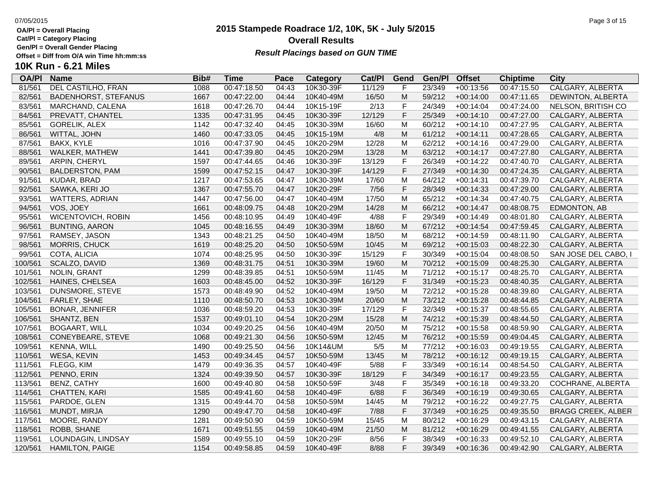**Cat/Pl = Category Placing**

**10K Run - 6.21 Miles**

**Gen/Pl = Overall Gender Placing**

### **2015 Stampede Roadrace 1/2, 10K, 5K - July 5/2015** 07/05/2015 Page 3 of 15 **Overall Results Offset = Diff from O/A win Time hh:mm:ss** *Result Placings based on GUN TIME*

| <b>OA/PI</b> | Name                        | Bib# | Time        | Pace   | Category  | Cat/PI | Gend | Gen/Pl  | <b>Offset</b> | <b>Chiptime</b> | City               |
|--------------|-----------------------------|------|-------------|--------|-----------|--------|------|---------|---------------|-----------------|--------------------|
| 81/561       | DEL CASTILHO, FRAN          | 1088 | 00:47:18.50 | 04:43  | 10K30-39F | 11/129 | F    | 23/349  | $+00:13:56$   | 00:47:15.50     | CALGARY, ALBERTA   |
| 82/561       | <b>BADENHORST, STEFANUS</b> | 1667 | 00:47:22.00 | 04:44  | 10K40-49M | 16/50  | м    | 59/212  | $+00:14:00$   | 00:47:11.65     | DEWINTON, ALBERTA  |
| 83/561       | MARCHAND, CALENA            | 1618 | 00:47:26.70 | 04:44  | 10K15-19F | 2/13   | F    | 24/349  | $+00:14:04$   | 00:47:24.00     | NELSON, BRITISH CO |
| 84/561       | PREVATT, CHANTEL            | 1335 | 00:47:31.95 | 04:45  | 10K30-39F | 12/129 | F.   | 25/349  | $+00:14:10$   | 00:47:27.00     | CALGARY, ALBERTA   |
| 85/561       | <b>GORELIK, ALEX</b>        | 1142 | 00:47:32.40 | 04:45  | 10K30-39M | 16/60  | м    | 60/212  | $+00:14:10$   | 00:47:27.95     | CALGARY, ALBERTA   |
| 86/561       | WITTAL, JOHN                | 1460 | 00:47:33.05 | 04:45  | 10K15-19M | 4/8    | м    | 61/212  | $+00:14:11$   | 00:47:28.65     | CALGARY, ALBERTA   |
| 87/561       | BAKX. KYLE                  | 1016 | 00:47:37.90 | 04:45  | 10K20-29M | 12/28  | м    | 62/212  | $+00:14:16$   | 00:47:29.00     | CALGARY, ALBERTA   |
| 88/561       | WALKER, MATHEW              | 1441 | 00:47:39.80 | 04:45  | 10K20-29M | 13/28  | м    | 63/212  | $+00:14:17$   | 00:47:27.80     | CALGARY, ALBERTA   |
| 89/561       | ARPIN, CHERYL               | 1597 | 00:47:44.65 | 04:46  | 10K30-39F | 13/129 | F    | 26/349  | $+00:14:22$   | 00:47:40.70     | CALGARY, ALBERTA   |
| 90/561       | BALDERSTON, PAM             | 1599 | 00:47:52.15 | 04:47  | 10K30-39F | 14/129 | F    | 27/349  | $+00:14:30$   | 00:47:24.35     | CALGARY, ALBERTA   |
| 91/561       | KUDAR, BRAD                 | 1217 | 00:47:53.65 | 04:47  | 10K30-39M | 17/60  | м    | 64/212  | $+00:14:31$   | 00:47:39.70     | CALGARY, ALBERTA   |
| 92/561       | SAWKA, KERI JO              | 1367 | 00:47:55.70 | 04:47  | 10K20-29F | 7/56   | F    | 28/349  | $+00:14:33$   | 00:47:29.00     | CALGARY, ALBERTA   |
| 93/561       | WATTERS, ADRIAN             | 1447 | 00:47:56.00 | 04:47  | 10K40-49M | 17/50  | М    | 65/212  | $+00:14:34$   | 00:47:40.75     | CALGARY, ALBERTA   |
| 94/561       | VOS, JOEY                   | 1661 | 00:48:09.75 | 04:48  | 10K20-29M | 14/28  | M    | 66/212  | $+00:14:47$   | 00:48:08.75     | EDMONTON, AB       |
| 95/561       | WICENTOVICH, ROBIN          | 1456 | 00:48:10.95 | 04:49  | 10K40-49F | 4/88   | F    | 29/349  | $+00:14:49$   | 00:48:01.80     | CALGARY, ALBERTA   |
| 96/561       | BUNTING, AARON              | 1045 | 00:48:16.55 | 04:49  | 10K30-39M | 18/60  | м    | 67/212  | $+00:14:54$   | 00:47:59.45     | CALGARY, ALBERTA   |
| 07/564       | <b>DAMOEV IACONI</b>        | 1010 | 00.10.01.0E | 0.1.50 | AONAOM    | 40/50  |      | 0.01040 | .00.44.00     | 00.10.11 00     | CALCADV ALDEDTA    |

| 87/561  | <b>BAKX, KYLE</b>         | 1016 | 00:47:37.90 | 04:45 | 10K20-29M | 12/28  | M           | 62/212 | $+00:14:16$ | 00:47:29.00 | CALGARY, ALBERTA          |
|---------|---------------------------|------|-------------|-------|-----------|--------|-------------|--------|-------------|-------------|---------------------------|
| 88/561  | WALKER, MATHEW            | 1441 | 00:47:39.80 | 04:45 | 10K20-29M | 13/28  | M           | 63/212 | $+00:14:17$ | 00:47:27.80 | CALGARY, ALBERTA          |
| 89/561  | ARPIN, CHERYL             | 1597 | 00:47:44.65 | 04:46 | 10K30-39F | 13/129 | F           | 26/349 | $+00:14:22$ | 00:47:40.70 | CALGARY, ALBERTA          |
| 90/561  | <b>BALDERSTON, PAM</b>    | 1599 | 00:47:52.15 | 04:47 | 10K30-39F | 14/129 | $\mathsf F$ | 27/349 | $+00:14:30$ | 00:47:24.35 | CALGARY, ALBERTA          |
| 91/561  | KUDAR, BRAD               | 1217 | 00:47:53.65 | 04:47 | 10K30-39M | 17/60  | M           | 64/212 | $+00:14:31$ | 00:47:39.70 | CALGARY, ALBERTA          |
| 92/561  | SAWKA, KERI JO            | 1367 | 00:47:55.70 | 04:47 | 10K20-29F | 7/56   | F           | 28/349 | $+00:14:33$ | 00:47:29.00 | CALGARY, ALBERTA          |
| 93/561  | <b>WATTERS, ADRIAN</b>    | 1447 | 00:47:56.00 | 04:47 | 10K40-49M | 17/50  | M           | 65/212 | $+00:14:34$ | 00:47:40.75 | CALGARY, ALBERTA          |
| 94/561  | VOS, JOEY                 | 1661 | 00:48:09.75 | 04:48 | 10K20-29M | 14/28  | M           | 66/212 | $+00:14:47$ | 00:48:08.75 | <b>EDMONTON, AB</b>       |
| 95/561  | <b>WICENTOVICH, ROBIN</b> | 1456 | 00:48:10.95 | 04:49 | 10K40-49F | 4/88   | $\mathsf F$ | 29/349 | $+00:14:49$ | 00:48:01.80 | CALGARY, ALBERTA          |
| 96/561  | <b>BUNTING, AARON</b>     | 1045 | 00:48:16.55 | 04:49 | 10K30-39M | 18/60  | M           | 67/212 | $+00:14:54$ | 00:47:59.45 | CALGARY, ALBERTA          |
| 97/561  | RAMSEY, JASON             | 1343 | 00:48:21.25 | 04:50 | 10K40-49M | 18/50  | M           | 68/212 | $+00:14:59$ | 00:48:11.90 | CALGARY, ALBERTA          |
| 98/561  | MORRIS, CHUCK             | 1619 | 00:48:25.20 | 04:50 | 10K50-59M | 10/45  | M           | 69/212 | $+00:15:03$ | 00:48:22.30 | CALGARY, ALBERTA          |
| 99/561  | COTA, ALICIA              | 1074 | 00:48:25.95 | 04:50 | 10K30-39F | 15/129 | F           | 30/349 | $+00:15:04$ | 00:48:08.50 | SAN JOSE DEL CABO, I      |
| 100/561 | SCALZO, DAVID             | 1369 | 00:48:31.75 | 04:51 | 10K30-39M | 19/60  | M           | 70/212 | $+00:15:09$ | 00:48:25.30 | CALGARY, ALBERTA          |
| 101/561 | NOLIN, GRANT              | 1299 | 00:48:39.85 | 04:51 | 10K50-59M | 11/45  | M           | 71/212 | $+00:15:17$ | 00:48:25.70 | CALGARY, ALBERTA          |
| 102/561 | HAINES, CHELSEA           | 1603 | 00:48:45.00 | 04:52 | 10K30-39F | 16/129 | $\mathsf F$ | 31/349 | $+00:15:23$ | 00:48:40.35 | CALGARY, ALBERTA          |
| 103/561 | DUNSMORE, STEVE           | 1573 | 00:48:49.90 | 04:52 | 10K40-49M | 19/50  | M           | 72/212 | $+00:15:28$ | 00:48:39.80 | CALGARY, ALBERTA          |
| 104/561 | FARLEY, SHAE              | 1110 | 00:48:50.70 | 04:53 | 10K30-39M | 20/60  | M           | 73/212 | $+00:15:28$ | 00:48:44.85 | CALGARY, ALBERTA          |
| 105/561 | <b>BONAR, JENNIFER</b>    | 1036 | 00:48:59.20 | 04:53 | 10K30-39F | 17/129 | F           | 32/349 | $+00:15:37$ | 00:48:55.65 | CALGARY, ALBERTA          |
| 106/561 | SHANTZ, BEN               | 1537 | 00:49:01.10 | 04:54 | 10K20-29M | 15/28  | M           | 74/212 | $+00:15:39$ | 00:48:44.50 | CALGARY, ALBERTA          |
| 107/561 | <b>BOGAART, WILL</b>      | 1034 | 00:49:20.25 | 04:56 | 10K40-49M | 20/50  | M           | 75/212 | $+00:15:58$ | 00:48:59.90 | CALGARY, ALBERTA          |
| 108/561 | CONEYBEARE, STEVE         | 1068 | 00:49:21.30 | 04:56 | 10K50-59M | 12/45  | M           | 76/212 | $+00:15:59$ | 00:49:04.45 | CALGARY, ALBERTA          |
| 109/561 | KENNA, WILL               | 1490 | 00:49:25.50 | 04:56 | 10K14&UM  | $5/5$  | M           | 77/212 | $+00:16:03$ | 00:49:19.55 | CALGARY, ALBERTA          |
| 110/561 | WESA, KEVIN               | 1453 | 00:49:34.45 | 04:57 | 10K50-59M | 13/45  | M           | 78/212 | $+00:16:12$ | 00:49:19.15 | CALGARY, ALBERTA          |
| 111/561 | FLEGG, KIM                | 1479 | 00:49:36.35 | 04:57 | 10K40-49F | 5/88   | F           | 33/349 | $+00:16:14$ | 00:48:54.50 | CALGARY, ALBERTA          |
| 112/561 | PENNO, ERIN               | 1324 | 00:49:39.50 | 04:57 | 10K30-39F | 18/129 | $\mathsf F$ | 34/349 | $+00:16:17$ | 00:49:23.55 | CALGARY, ALBERTA          |
| 113/561 | BENZ, CATHY               | 1600 | 00:49:40.80 | 04:58 | 10K50-59F | 3/48   | $\mathsf F$ | 35/349 | $+00:16:18$ | 00:49:33.20 | COCHRANE, ALBERTA         |
| 114/561 | CHATTEN, KARI             | 1585 | 00:49:41.60 | 04:58 | 10K40-49F | 6/88   | $\mathsf F$ | 36/349 | $+00:16:19$ | 00:49:30.65 | CALGARY, ALBERTA          |
| 115/561 | PARDOE, GLEN              | 1315 | 00:49:44.70 | 04:58 | 10K50-59M | 14/45  | M           | 79/212 | $+00:16:22$ | 00:49:27.75 | CALGARY, ALBERTA          |
| 116/561 | MUNDT, MIRJA              | 1290 | 00:49:47.70 | 04:58 | 10K40-49F | 7/88   | $\mathsf F$ | 37/349 | $+00:16:25$ | 00:49:35.50 | <b>BRAGG CREEK, ALBER</b> |
| 117/561 | MOORE, RANDY              | 1281 | 00:49:50.90 | 04:59 | 10K50-59M | 15/45  | M           | 80/212 | $+00:16:29$ | 00:49:43.15 | CALGARY, ALBERTA          |
| 118/561 | ROBB, SHANE               | 1671 | 00:49:51.55 | 04:59 | 10K40-49M | 21/50  | M           | 81/212 | $+00:16:29$ | 00:49:41.55 | CALGARY, ALBERTA          |
| 119/561 | LOUNDAGIN, LINDSAY        | 1589 | 00:49:55.10 | 04:59 | 10K20-29F | 8/56   | F           | 38/349 | $+00:16:33$ | 00:49:52.10 | CALGARY, ALBERTA          |
| 120/561 | <b>HAMILTON, PAIGE</b>    | 1154 | 00:49:58.85 | 04:59 | 10K40-49F | 8/88   | F           | 39/349 | $+00:16:36$ | 00:49:42.90 | CALGARY, ALBERTA          |
|         |                           |      |             |       |           |        |             |        |             |             |                           |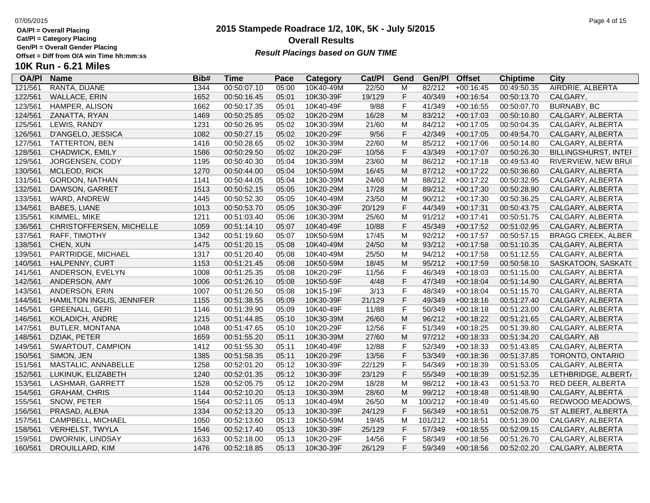**Cat/Pl = Category Placing**

**Gen/Pl = Overall Gender Placing**

### **2015 Stampede Roadrace 1/2, 10K, 5K - July 5/2015** 07/05/2015 Page 4 of 15 **Overall Results Result Placings based on GUN TIME**

| <b>OA/PI</b> | <b>Name</b>                      | Bib# | Time        | Pace  | Category  | Cat/PI | Gend         | Gen/Pl  | <b>Offset</b> | <b>Chiptime</b> | City                      |
|--------------|----------------------------------|------|-------------|-------|-----------|--------|--------------|---------|---------------|-----------------|---------------------------|
| 121/561      | RANTA, DUANE                     | 1344 | 00:50:07.10 | 05:00 | 10K40-49M | 22/50  | M            | 82/212  | $+00:16:45$   | 00:49:50.35     | AIRDRIE, ALBERTA          |
| 122/561      | <b>WALLACE, ERIN</b>             | 1652 | 00:50:16.45 | 05:01 | 10K30-39F | 19/129 | F            | 40/349  | $+00:16:54$   | 00:50:13.70     | CALGARY,                  |
| 123/561      | HAMPER, ALISON                   | 1662 | 00:50:17.35 | 05:01 | 10K40-49F | 9/88   | F            | 41/349  | $+00:16:55$   | 00:50:07.70     | BURNABY, BC               |
| 124/561      | ZANATTA, RYAN                    | 1469 | 00:50:25.85 | 05:02 | 10K20-29M | 16/28  | M            | 83/212  | $+00:17:03$   | 00:50:10.80     | CALGARY, ALBERTA          |
| 125/561      | LEWIS, RANDY                     | 1231 | 00:50:26.95 | 05:02 | 10K30-39M | 21/60  | M            | 84/212  | $+00:17:05$   | 00:50:04.35     | CALGARY, ALBERTA          |
| 126/561      | D'ANGELO, JESSICA                | 1082 | 00:50:27.15 | 05:02 | 10K20-29F | 9/56   | $\mathsf F$  | 42/349  | $+00:17:05$   | 00:49:54.70     | CALGARY, ALBERTA          |
| 127/561      | TATTERTON, BEN                   | 1416 | 00:50:28.65 | 05:02 | 10K30-39M | 22/60  | M            | 85/212  | $+00:17:06$   | 00:50:14.80     | CALGARY, ALBERTA          |
| 128/561      | CHADWICK, EMILY                  | 1586 | 00:50:29.50 | 05:02 | 10K20-29F | 10/56  | $\mathsf F$  | 43/349  | $+00:17:07$   | 00:50:26.30     | BILLINGSHURST, INTEI      |
| 129/561      | JORGENSEN, CODY                  | 1195 | 00:50:40.30 | 05:04 | 10K30-39M | 23/60  | M            | 86/212  | $+00:17:18$   | 00:49:53.40     | RIVERVIEW, NEW BRUI       |
| 130/561      | MCLEOD, RICK                     | 1270 | 00:50:44.00 | 05:04 | 10K50-59M | 16/45  | ${\sf M}$    | 87/212  | $+00:17:22$   | 00:50:36.60     | CALGARY, ALBERTA          |
| 131/561      | <b>GORDON, NATHAN</b>            | 1141 | 00:50:44.05 | 05:04 | 10K30-39M | 24/60  | M            | 88/212  | $+00:17:22$   | 00:50:32.95     | CALGARY, ALBERTA          |
| 132/561      | DAWSON, GARRET                   | 1513 | 00:50:52.15 | 05:05 | 10K20-29M | 17/28  | M            | 89/212  | $+00:17:30$   | 00:50:28.90     | CALGARY, ALBERTA          |
| 133/561      | WARD, ANDREW                     | 1445 | 00:50:52.30 | 05:05 | 10K40-49M | 23/50  | M            | 90/212  | $+00:17:30$   | 00:50:36.25     | CALGARY, ALBERTA          |
| 134/561      | <b>BABES, LIANE</b>              | 1013 | 00:50:53.70 | 05:05 | 10K30-39F | 20/129 | $\mathsf F$  | 44/349  | $+00:17:31$   | 00:50:43.75     | CALGARY, ALBERTA          |
| 135/561      | KIMMEL, MIKE                     | 1211 | 00:51:03.40 | 05:06 | 10K30-39M | 25/60  | M            | 91/212  | $+00:17:41$   | 00:50:51.75     | CALGARY, ALBERTA          |
| 136/561      | CHRISTOFFERSEN, MICHELLE         | 1059 | 00:51:14.10 | 05:07 | 10K40-49F | 10/88  | $\mathsf F$  | 45/349  | $+00:17:52$   | 00:51:02.95     | CALGARY, ALBERTA          |
| 137/561      | RAFF, TIMOTHY                    | 1342 | 00:51:19.60 | 05:07 | 10K50-59M | 17/45  | M            | 92/212  | $+00:17:57$   | 00:50:57.15     | <b>BRAGG CREEK, ALBER</b> |
| 138/561      | CHEN, XUN                        | 1475 | 00:51:20.15 | 05:08 | 10K40-49M | 24/50  | M            | 93/212  | $+00:17:58$   | 00:51:10.35     | CALGARY, ALBERTA          |
| 139/561      | PARTRIDGE, MICHAEL               | 1317 | 00:51:20.40 | 05:08 | 10K40-49M | 25/50  | M            | 94/212  | $+00:17:58$   | 00:51:12.55     | CALGARY, ALBERTA          |
| 140/561      | HALPENNY, CURT                   | 1153 | 00:51:21.45 | 05:08 | 10K50-59M | 18/45  | M            | 95/212  | $+00:17:59$   | 00:50:58.10     | SASKATOON, SASKAT(        |
| 141/561      | ANDERSON, EVELYN                 | 1008 | 00:51:25.35 | 05:08 | 10K20-29F | 11/56  | $\mathsf F$  | 46/349  | $+00:18:03$   | 00:51:15.00     | CALGARY, ALBERTA          |
| 142/561      | ANDERSON, AMY                    | 1006 | 00:51:26.10 | 05:08 | 10K50-59F | 4/48   | $\mathsf F$  | 47/349  | $+00:18:04$   | 00:51:14.90     | CALGARY, ALBERTA          |
| 143/561      | ANDERSON, ERIN                   | 1007 | 00:51:26.50 | 05:08 | 10K15-19F | 3/13   | $\mathsf F$  | 48/349  | $+00:18:04$   | 00:51:15.70     | CALGARY, ALBERTA          |
| 144/561      | <b>HAMILTON INGLIS, JENNIFER</b> | 1155 | 00:51:38.55 | 05:09 | 10K30-39F | 21/129 | $\mathsf F$  | 49/349  | $+00:18:16$   | 00:51:27.40     | CALGARY, ALBERTA          |
| 145/561      | <b>GREENALL, GERI</b>            | 1146 | 00:51:39.90 | 05:09 | 10K40-49F | 11/88  | F            | 50/349  | $+00:18:18$   | 00:51:23.00     | CALGARY, ALBERTA          |
| 146/561      | KOLADICH, ANDRE                  | 1215 | 00:51:44.85 | 05:10 | 10K30-39M | 26/60  | ${\sf M}$    | 96/212  | $+00:18:22$   | 00:51:21.65     | CALGARY, ALBERTA          |
| 147/561      | <b>BUTLER, MONTANA</b>           | 1048 | 00:51:47.65 | 05:10 | 10K20-29F | 12/56  | $\mathsf F$  | 51/349  | $+00:18:25$   | 00:51:39.80     | CALGARY, ALBERTA          |
| 148/561      | DZIAK, PETER                     | 1659 | 00:51:55.20 | 05:11 | 10K30-39M | 27/60  | ${\sf M}$    | 97/212  | $+00:18:33$   | 00:51:34.20     | CALGARY, AB               |
| 149/561      | SWARTOUT, CAMPION                | 1412 | 00:51:55.30 | 05:11 | 10K40-49F | 12/88  | $\mathsf F$  | 52/349  | $+00:18:33$   | 00:51:43.85     | CALGARY, ALBERTA          |
| 150/561      | SIMON, JEN                       | 1385 | 00:51:58.35 | 05:11 | 10K20-29F | 13/56  | $\mathsf F$  | 53/349  | $+00:18:36$   | 00:51:37.85     | TORONTO, ONTARIO          |
| 151/561      | MASTALIC, ANNABELLE              | 1258 | 00:52:01.20 | 05:12 | 10K30-39F | 22/129 | $\mathsf F$  | 54/349  | $+00:18:39$   | 00:51:53.05     | CALGARY, ALBERTA          |
| 152/561      | LUKINUK, ELIZABETH               | 1240 | 00:52:01.35 | 05:12 | 10K30-39F | 23/129 | $\mathsf{F}$ | 55/349  | $+00:18:39$   | 00:51:52.35     | LETHBRIDGE, ALBERT/       |
| 153/561      | LASHMAR, GARRETT                 | 1528 | 00:52:05.75 | 05:12 | 10K20-29M | 18/28  | M            | 98/212  | $+00:18:43$   | 00:51:53.70     | RED DEER, ALBERTA         |
| 154/561      | <b>GRAHAM, CHRIS</b>             | 1144 | 00:52:10.20 | 05:13 | 10K30-39M | 28/60  | M            | 99/212  | $+00:18:48$   | 00:51:48.90     | CALGARY, ALBERTA          |
| 155/561      | SNOW, PETER                      | 1564 | 00:52:11.05 | 05:13 | 10K40-49M | 26/50  | M            | 100/212 | $+00:18:49$   | 00:51:45.60     | REDWOOD MEADOWS,          |
| 156/561      | PRASAD, ALENA                    | 1334 | 00:52:13.20 | 05:13 | 10K30-39F | 24/129 | $\mathsf F$  | 56/349  | $+00:18:51$   | 00:52:08.75     | ST ALBERT, ALBERTA        |
| 157/561      | CAMPBELL, MICHAEL                | 1050 | 00:52:13.60 | 05:13 | 10K50-59M | 19/45  | M            | 101/212 | $+00:18:51$   | 00:51:39.00     | CALGARY, ALBERTA          |
| 158/561      | <b>VERHELST, TWYLA</b>           | 1546 | 00:52:17.40 | 05:13 | 10K30-39F | 25/129 | F            | 57/349  | $+00:18:55$   | 00:52:09.15     | CALGARY, ALBERTA          |
| 159/561      | DWORNIK, LINDSAY                 | 1633 | 00:52:18.00 | 05:13 | 10K20-29F | 14/56  | F            | 58/349  | $+00:18:56$   | 00:51:26.70     | CALGARY, ALBERTA          |
| 160/561      | DROUILLARD, KIM                  | 1476 | 00:52:18.85 | 05:13 | 10K30-39F | 26/129 | F            | 59/349  | $+00:18:56$   | 00:52:02.20     | CALGARY, ALBERTA          |
|              |                                  |      |             |       |           |        |              |         |               |                 |                           |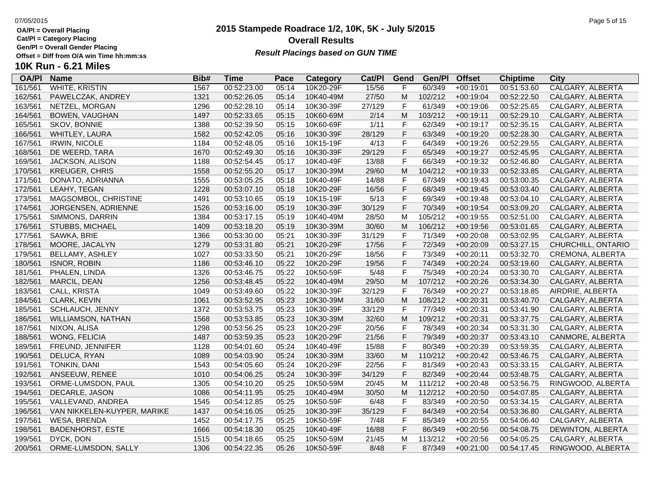**Cat/Pl = Category Placing**

**Gen/Pl = Overall Gender Placing**

## **10K Run - 6.21 Miles**

| <b>OA/PI</b> | <b>Name</b>                 | Bib# | <b>Time</b> | Pace  | <b>Category</b> | Cat/Pl | Gend        | Gen/Pl  | <b>Offset</b> | <b>Chiptime</b> | <b>City</b>        |
|--------------|-----------------------------|------|-------------|-------|-----------------|--------|-------------|---------|---------------|-----------------|--------------------|
| 161/561      | <b>WHITE, KRISTIN</b>       | 1567 | 00:52:23.00 | 05:14 | 10K20-29F       | 15/56  | F           | 60/349  | $+00:19:01$   | 00:51:53.60     | CALGARY, ALBERTA   |
| 162/561      | PAWELCZAK, ANDREY           | 1321 | 00:52:26.05 | 05:14 | 10K40-49M       | 27/50  | M           | 102/212 | $+00:19:04$   | 00:52:22.50     | CALGARY, ALBERTA   |
| 163/561      | NETZEL, MORGAN              | 1296 | 00:52:28.10 | 05:14 | 10K30-39F       | 27/129 | F           | 61/349  | $+00:19:06$   | 00:52:25.65     | CALGARY, ALBERTA   |
| 164/561      | <b>BOWEN, VAUGHAN</b>       | 1497 | 00:52:33.65 | 05:15 | 10K60-69M       | 2/14   | M           | 103/212 | $+00:19:11$   | 00:52:29.10     | CALGARY, ALBERTA   |
| 165/561      | SKOV, BONNIE                | 1388 | 00:52:39.50 | 05:15 | 10K60-69F       | $1/11$ | F           | 62/349  | $+00:19:17$   | 00:52:35.15     | CALGARY, ALBERTA   |
| 166/561      | WHITLEY, LAURA              | 1582 | 00:52:42.05 | 05:16 | 10K30-39F       | 28/129 | F           | 63/349  | $+00:19:20$   | 00:52:28.30     | CALGARY, ALBERTA   |
| 167/561      | <b>IRWIN, NICOLE</b>        | 1184 | 00:52:48.05 | 05:16 | 10K15-19F       | 4/13   | F           | 64/349  | $+00:19:26$   | 00:52:29.55     | CALGARY, ALBERTA   |
| 168/561      | DE WEERD, TARA              | 1670 | 00:52:49.30 | 05:16 | 10K30-39F       | 29/129 | F           | 65/349  | $+00:19:27$   | 00:52:45.95     | CALGARY, ALBERTA   |
| 169/561      | JACKSON, ALISON             | 1188 | 00:52:54.45 | 05:17 | 10K40-49F       | 13/88  | F           | 66/349  | $+00:19:32$   | 00:52:46.80     | CALGARY, ALBERTA   |
| 170/561      | <b>KREUGER, CHRIS</b>       | 1558 | 00:52:55.20 | 05:17 | 10K30-39M       | 29/60  | M           | 104/212 | $+00:19:33$   | 00:52:33.85     | CALGARY, ALBERTA   |
| 171/561      | DONATO, ADRIANNA            | 1555 | 00:53:05.25 | 05:18 | 10K40-49F       | 14/88  | F           | 67/349  | $+00:19:43$   | 00:53:00.35     | CALGARY, ALBERTA   |
| 172/561      | LEAHY, TEGAN                | 1228 | 00:53:07.10 | 05:18 | 10K20-29F       | 16/56  | F           | 68/349  | $+00:19:45$   | 00:53:03.40     | CALGARY, ALBERTA   |
| 173/561      | MAGSOMBOL, CHRISTINE        | 1491 | 00:53:10.65 | 05:19 | 10K15-19F       | 5/13   | F           | 69/349  | $+00:19:48$   | 00:53:04.10     | CALGARY, ALBERTA   |
| 174/561      | JORGENSEN, ADRIENNE         | 1526 | 00:53:16.00 | 05:19 | 10K30-39F       | 30/129 | F           | 70/349  | $+00:19:54$   | 00:53:09.20     | CALGARY, ALBERTA   |
| 175/561      | SIMMONS, DARRIN             | 1384 | 00:53:17.15 | 05:19 | 10K40-49M       | 28/50  | M           | 105/212 | $+00:19:55$   | 00:52:51.00     | CALGARY, ALBERTA   |
| 176/561      | STUBBS, MICHAEL             | 1409 | 00:53:18.20 | 05:19 | 10K30-39M       | 30/60  | M           | 106/212 | $+00:19:56$   | 00:53:01.65     | CALGARY, ALBERTA   |
| 177/561      | SAWKA, BRIE                 | 1366 | 00:53:30.00 | 05:21 | 10K30-39F       | 31/129 | F           | 71/349  | $+00:20:08$   | 00:53:02.95     | CALGARY, ALBERTA   |
| 178/561      | MOORE, JACALYN              | 1279 | 00:53:31.80 | 05:21 | 10K20-29F       | 17/56  | F           | 72/349  | $+00:20:09$   | 00:53:27.15     | CHURCHILL, ONTARIO |
| 179/561      | BELLAMY, ASHLEY             | 1027 | 00:53:33.50 | 05:21 | 10K20-29F       | 18/56  | F           | 73/349  | $+00:20:11$   | 00:53:32.70     | CREMONA, ALBERTA   |
| 180/561      | <b>ISNOR, ROBIN</b>         | 1186 | 00:53:46.10 | 05:22 | 10K20-29F       | 19/56  | F           | 74/349  | $+00:20:24$   | 00:53:19.60     | CALGARY, ALBERTA   |
| 181/561      | PHALEN, LINDA               | 1326 | 00:53:46.75 | 05:22 | 10K50-59F       | 5/48   | F           | 75/349  | $+00:20:24$   | 00:53:30.70     | CALGARY, ALBERTA   |
| 182/561      | MARCIL, DEAN                | 1256 | 00:53:48.45 | 05:22 | 10K40-49M       | 29/50  | M           | 107/212 | $+00:20:26$   | 00:53:34.30     | CALGARY, ALBERTA   |
| 183/561      | CALL, KRISTA                | 1049 | 00:53:49.60 | 05:22 | 10K30-39F       | 32/129 | $\mathsf F$ | 76/349  | $+00:20:27$   | 00:53:18.85     | AIRDRIE, ALBERTA   |
| 184/561      | CLARK, KEVIN                | 1061 | 00:53:52.95 | 05:23 | 10K30-39M       | 31/60  | M           | 108/212 | $+00:20:31$   | 00:53:40.70     | CALGARY, ALBERTA   |
| 185/561      | <b>SCHLAUCH, JENNY</b>      | 1372 | 00:53:53.75 | 05:23 | 10K30-39F       | 33/129 | F           | 77/349  | $+00:20:31$   | 00:53:41.90     | CALGARY, ALBERTA   |
| 186/561      | <b>WILLIAMSON, NATHAN</b>   | 1568 | 00:53:53.85 | 05:23 | 10K30-39M       | 32/60  | M           | 109/212 | $+00:20:31$   | 00:53:37.75     | CALGARY, ALBERTA   |
| 187/561      | NIXON, ALISA                | 1298 | 00:53:56.25 | 05:23 | 10K20-29F       | 20/56  | F           | 78/349  | $+00:20:34$   | 00:53:31.30     | CALGARY, ALBERTA   |
| 188/561      | WONG, FELICIA               | 1487 | 00:53:59.35 | 05:23 | 10K20-29F       | 21/56  | F           | 79/349  | $+00:20:37$   | 00:53:43.10     | CANMORE, ALBERTA   |
| 189/561      | FREUND, JENNIFER            | 1128 | 00:54:01.60 | 05:24 | 10K40-49F       | 15/88  | F           | 80/349  | $+00:20:39$   | 00:53:59.35     | CALGARY, ALBERTA   |
| 190/561      | DELUCA, RYAN                | 1089 | 00:54:03.90 | 05:24 | 10K30-39M       | 33/60  | M           | 110/212 | $+00:20:42$   | 00:53:46.75     | CALGARY, ALBERTA   |
| 191/561      | <b>TONKIN, DANI</b>         | 1543 | 00:54:05.60 | 05:24 | 10K20-29F       | 22/56  | F           | 81/349  | $+00:20:43$   | 00:53:33.15     | CALGARY, ALBERTA   |
| 192/561      | ANSEEUW, RENEE              | 1010 | 00:54:06.25 | 05:24 | 10K30-39F       | 34/129 | F           | 82/349  | $+00:20:44$   | 00:53:48.75     | CALGARY, ALBERTA   |
| 193/561      | ORME-LUMSDON, PAUL          | 1305 | 00:54:10.20 | 05:25 | 10K50-59M       | 20/45  | M           | 111/212 | $+00:20:48$   | 00:53:56.75     | RINGWOOD, ALBERTA  |
| 194/561      | DECARLE, JASON              | 1086 | 00:54:11.95 | 05:25 | 10K40-49M       | 30/50  | M           | 112/212 | $+00:20:50$   | 00:54:07.85     | CALGARY, ALBERTA   |
| 195/561      | VALLEVAND, ANDREA           | 1545 | 00:54:12.85 | 05:25 | 10K50-59F       | 6/48   | F           | 83/349  | $+00:20:50$   | 00:53:34.15     | CALGARY, ALBERTA   |
| 196/561      | VAN NIKKELEN-KUYPER, MARIKE | 1437 | 00:54:16.05 | 05:25 | 10K30-39F       | 35/129 | F           | 84/349  | $+00:20:54$   | 00:53:36.80     | CALGARY, ALBERTA   |
| 197/561      | WESA, BRENDA                | 1452 | 00:54:17.75 | 05:25 | 10K50-59F       | 7/48   | F           | 85/349  | $+00:20:55$   | 00:54:06.40     | CALGARY, ALBERTA   |
| 198/561      | <b>BADENHORST, ESTE</b>     | 1666 | 00:54:18.30 | 05:25 | 10K40-49F       | 16/88  | F           | 86/349  | $+00:20:56$   | 00:54:08.75     | DEWINTON, ALBERTA  |
| 199/561      | DYCK, DON                   | 1515 | 00:54:18.65 | 05:25 | 10K50-59M       | 21/45  | M           | 113/212 | $+00:20:56$   | 00:54:05.25     | CALGARY, ALBERTA   |
| 200/561      | ORME-LUMSDON, SALLY         | 1306 | 00:54:22.35 | 05:26 | 10K50-59F       | 8/48   | F           | 87/349  | $+00:21:00$   | 00:54:17.45     | RINGWOOD, ALBERTA  |

### **2015 Stampede Roadrace 1/2, 10K, 5K - July 5/2015** 07/05/2015 Page 5 of 15 **Overall Results Result Placings based on GUN TIME**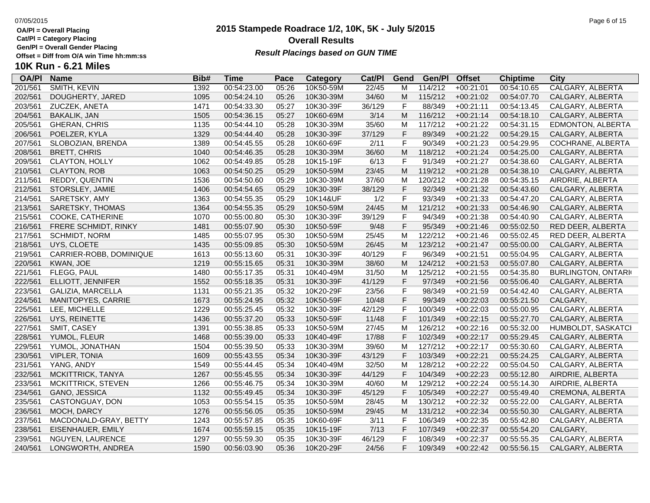**Cat/Pl = Category Placing**

**Gen/Pl = Overall Gender Placing**

### **2015 Stampede Roadrace 1/2, 10K, 5K - July 5/2015** 07/05/2015 Page 6 of 15 **Overall Results** Gen/PI = Overall Gender Placing<br>Offset = Diff from O/A win Time hh:mm:ss *Result Placings based on GUN TIME*

| <b>OA/PI</b> | <b>Name</b>             | Bib# | <b>Time</b> | Pace  | Category  | Cat/PI | Gend | Gen/Pl  | <b>Offset</b> | <b>Chiptime</b> | City                      |
|--------------|-------------------------|------|-------------|-------|-----------|--------|------|---------|---------------|-----------------|---------------------------|
| 201/561      | SMITH, KEVIN            | 1392 | 00:54:23.00 | 05:26 | 10K50-59M | 22/45  | М    | 114/212 | $+00:21:01$   | 00:54:10.65     | <b>CALGARY, ALBERTA</b>   |
| 202/561      | DOUGHERTY, JARED        | 1095 | 00:54:24.10 | 05:26 | 10K30-39M | 34/60  | М    | 115/212 | $+00:21:02$   | 00:54:07.70     | CALGARY, ALBERTA          |
| 203/561      | ZUCZEK, ANETA           | 1471 | 00:54:33.30 | 05:27 | 10K30-39F | 36/129 | F    | 88/349  | $+00:21:11$   | 00:54:13.45     | CALGARY, ALBERTA          |
| 204/561      | <b>BAKALIK, JAN</b>     | 1505 | 00:54:36.15 | 05:27 | 10K60-69M | 3/14   | M    | 116/212 | $+00:21:14$   | 00:54:18.10     | CALGARY, ALBERTA          |
| 205/561      | <b>GHERAN, CHRIS</b>    | 1135 | 00:54:44.10 | 05:28 | 10K30-39M | 35/60  | М    | 117/212 | $+00:21:22$   | 00:54:31.15     | EDMONTON, ALBERTA         |
| 206/561      | POELZER, KYLA           | 1329 | 00:54:44.40 | 05:28 | 10K30-39F | 37/129 | F    | 89/349  | $+00:21:22$   | 00:54:29.15     | CALGARY, ALBERTA          |
| 207/561      | SLOBOZIAN, BRENDA       | 1389 | 00:54:45.55 | 05:28 | 10K60-69F | 2/11   | F    | 90/349  | $+00:21:23$   | 00:54:29.95     | COCHRANE, ALBERTA         |
| 208/561      | <b>BRETT, CHRIS</b>     | 1040 | 00:54:46.35 | 05:28 | 10K30-39M | 36/60  | M    | 118/212 | $+00:21:24$   | 00:54:25.00     | CALGARY, ALBERTA          |
| 209/561      | <b>CLAYTON, HOLLY</b>   | 1062 | 00:54:49.85 | 05:28 | 10K15-19F | 6/13   | F.   | 91/349  | $+00:21:27$   | 00:54:38.60     | CALGARY, ALBERTA          |
| 210/561      | CLAYTON, ROB            | 1063 | 00:54:50.25 | 05:29 | 10K50-59M | 23/45  | M    | 119/212 | $+00:21:28$   | 00:54:38.10     | CALGARY, ALBERTA          |
| 211/561      | REDDY, QUENTIN          | 1536 | 00:54:50.60 | 05:29 | 10K30-39M | 37/60  | M    | 120/212 | $+00:21:28$   | 00:54:35.15     | AIRDRIE, ALBERTA          |
| 212/561      | STORSLEY, JAMIE         | 1406 | 00:54:54.65 | 05:29 | 10K30-39F | 38/129 | F    | 92/349  | $+00:21:32$   | 00:54:43.60     | CALGARY, ALBERTA          |
| 214/561      | SARETSKY, AMY           | 1363 | 00:54:55.35 | 05:29 | 10K14&UF  | 1/2    | F    | 93/349  | $+00:21:33$   | 00:54:47.20     | CALGARY, ALBERTA          |
| 213/561      | SARETSKY, THOMAS        | 1364 | 00:54:55.35 | 05:29 | 10K50-59M | 24/45  | M    | 121/212 | $+00:21:33$   | 00:54:46.90     | CALGARY, ALBERTA          |
| 215/561      | COOKE, CATHERINE        | 1070 | 00:55:00.80 | 05:30 | 10K30-39F | 39/129 | F    | 94/349  | $+00:21:38$   | 00:54:40.90     | CALGARY, ALBERTA          |
| 216/561      | FRERE SCHMIDT, RINKY    | 1481 | 00:55:07.90 | 05:30 | 10K50-59F | 9/48   | F    | 95/349  | $+00:21:46$   | 00:55:02.50     | RED DEER, ALBERTA         |
| 217/561      | <b>SCHMIDT, NORM</b>    | 1485 | 00:55:07.95 | 05:30 | 10K50-59M | 25/45  | M    | 122/212 | $+00:21:46$   | 00:55:02.45     | RED DEER, ALBERTA         |
| 218/561      | UYS, CLOETE             | 1435 | 00:55:09.85 | 05:30 | 10K50-59M | 26/45  | M    | 123/212 | $+00:21:47$   | 00:55:00.00     | CALGARY, ALBERTA          |
| 219/561      | CARRIER-ROBB, DOMINIQUE | 1613 | 00:55:13.60 | 05:31 | 10K30-39F | 40/129 | F.   | 96/349  | $+00:21:51$   | 00:55:04.95     | CALGARY, ALBERTA          |
| 220/561      | KWAN, JOE               | 1219 | 00:55:15.65 | 05:31 | 10K30-39M | 38/60  | M    | 124/212 | $+00:21:53$   | 00:55:07.80     | CALGARY, ALBERTA          |
| 221/561      | FLEGG, PAUL             | 1480 | 00:55:17.35 | 05:31 | 10K40-49M | 31/50  | M    | 125/212 | $+00:21:55$   | 00:54:35.80     | <b>BURLINGTON, ONTARI</b> |
| 222/561      | ELLIOTT, JENNIFER       | 1552 | 00:55:18.35 | 05:31 | 10K30-39F | 41/129 | F    | 97/349  | $+00:21:56$   | 00:55:06.40     | CALGARY, ALBERTA          |
| 223/561      | GALIZIA, MARCELLA       | 1131 | 00:55:21.35 | 05:32 | 10K20-29F | 23/56  | F    | 98/349  | $+00:21:59$   | 00:54:42.40     | CALGARY, ALBERTA          |
| 224/561      | MANITOPYES, CARRIE      | 1673 | 00:55:24.95 | 05:32 | 10K50-59F | 10/48  | F    | 99/349  | $+00:22:03$   | 00:55:21.50     | CALGARY,                  |
| 225/561      | LEE, MICHELLE           | 1229 | 00:55:25.45 | 05:32 | 10K30-39F | 42/129 | F    | 100/349 | $+00:22:03$   | 00:55:00.95     | CALGARY, ALBERTA          |
| 226/561      | UYS, REINETTE           | 1436 | 00:55:37.20 | 05:33 | 10K50-59F | 11/48  | F    | 101/349 | $+00:22:15$   | 00:55:27.70     | CALGARY, ALBERTA          |
| 227/561      | SMIT, CASEY             | 1391 | 00:55:38.85 | 05:33 | 10K50-59M | 27/45  | M    | 126/212 | $+00:22:16$   | 00:55:32.00     | HUMBOLDT, SASKATCI        |
| 228/561      | YUMOL, FLEUR            | 1468 | 00:55:39.00 | 05:33 | 10K40-49F | 17/88  | F.   | 102/349 | $+00:22:17$   | 00:55:29.45     | CALGARY, ALBERTA          |
| 229/561      | YUMOL, JONATHAN         | 1504 | 00:55:39.50 | 05:33 | 10K30-39M | 39/60  | М    | 127/212 | $+00:22:17$   | 00:55:30.60     | CALGARY, ALBERTA          |
| 230/561      | <b>VIPLER, TONIA</b>    | 1609 | 00:55:43.55 | 05:34 | 10K30-39F | 43/129 | F    | 103/349 | $+00:22:21$   | 00:55:24.25     | CALGARY, ALBERTA          |
| 231/561      | YANG, ANDY              | 1549 | 00:55:44.45 | 05:34 | 10K40-49M | 32/50  | M    | 128/212 | $+00:22:22$   | 00:55:04.50     | CALGARY, ALBERTA          |
| 232/561      | MCKITTRICK, TANYA       | 1267 | 00:55:45.55 | 05:34 | 10K30-39F | 44/129 | F    | 104/349 | $+00:22:23$   | 00:55:12.80     | AIRDRIE, ALBERTA          |
| 233/561      | MCKITTRICK, STEVEN      | 1266 | 00:55:46.75 | 05:34 | 10K30-39M | 40/60  | M    | 129/212 | $+00:22:24$   | 00:55:14.30     | AIRDRIE, ALBERTA          |
| 234/561      | GANO, JESSICA           | 1132 | 00:55:49.45 | 05:34 | 10K30-39F | 45/129 | F.   | 105/349 | $+00:22:27$   | 00:55:49.40     | CREMONA, ALBERTA          |
| 235/561      | CASTONGUAY, DON         | 1053 | 00:55:54.15 | 05:35 | 10K50-59M | 28/45  | М    | 130/212 | $+00:22:32$   | 00:55:22.00     | CALGARY, ALBERTA          |
| 236/561      | MOCH, DARCY             | 1276 | 00:55:56.05 | 05:35 | 10K50-59M | 29/45  | M    | 131/212 | $+00:22:34$   | 00:55:50.30     | CALGARY, ALBERTA          |
| 237/561      | MACDONALD-GRAY, BETTY   | 1243 | 00:55:57.85 | 05:35 | 10K60-69F | 3/11   | F    | 106/349 | $+00:22:35$   | 00:55:42.80     | CALGARY, ALBERTA          |
| 238/561      | EISENHAUER, EMILY       | 1674 | 00:55:59.15 | 05:35 | 10K15-19F | 7/13   | F    | 107/349 | $+00:22:37$   | 00:55:54.20     | CALGARY,                  |
| 239/561      | <b>NGUYEN, LAURENCE</b> | 1297 | 00:55:59.30 | 05:35 | 10K30-39F | 46/129 | F    | 108/349 | $+00:22:37$   | 00:55:55.35     | CALGARY, ALBERTA          |
| 240/561      | LONGWORTH, ANDREA       | 1590 | 00:56:03.90 | 05:36 | 10K20-29F | 24/56  | F.   | 109/349 | $+00:22:42$   | 00:55:56.15     | CALGARY, ALBERTA          |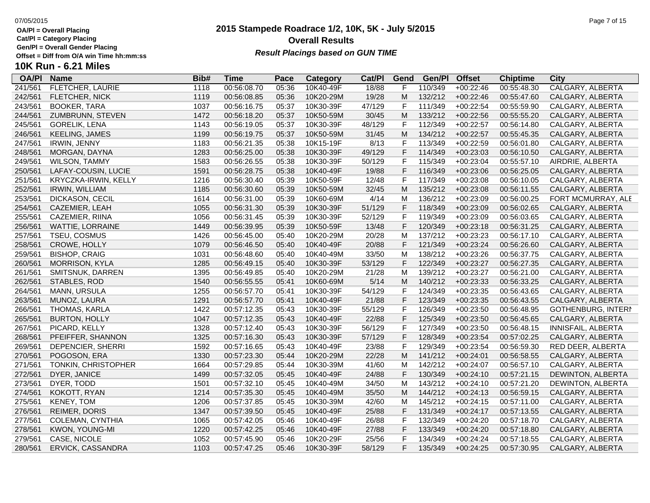**Cat/Pl = Category Placing**

**Gen/Pl = Overall Gender Placing**

# **10K Run - 6.21 Miles**

| <b>OA/PI</b> | <b>Name</b>             | Bib# | <b>Time</b> | Pace  | <b>Category</b> | Cat/Pl | Gend        | Gen/Pl  | <b>Offset</b> | <b>Chiptime</b> | <b>City</b>               |
|--------------|-------------------------|------|-------------|-------|-----------------|--------|-------------|---------|---------------|-----------------|---------------------------|
| 241/561      | <b>FLETCHER, LAURIE</b> | 1118 | 00:56:08.70 | 05:36 | 10K40-49F       | 18/88  | F           | 110/349 | $+00:22:46$   | 00:55:48.30     | <b>CALGARY, ALBERTA</b>   |
| 242/561      | <b>FLETCHER, NICK</b>   | 1119 | 00:56:08.85 | 05:36 | 10K20-29M       | 19/28  | M           | 132/212 | $+00:22:46$   | 00:55:47.60     | CALGARY, ALBERTA          |
| 243/561      | <b>BOOKER, TARA</b>     | 1037 | 00:56:16.75 | 05:37 | 10K30-39F       | 47/129 | F           | 111/349 | $+00:22:54$   | 00:55:59.90     | CALGARY, ALBERTA          |
| 244/561      | ZUMBRUNN, STEVEN        | 1472 | 00:56:18.20 | 05:37 | 10K50-59M       | 30/45  | M           | 133/212 | $+00:22:56$   | 00:55:55.20     | CALGARY, ALBERTA          |
| 245/561      | <b>GORELIK, LENA</b>    | 1143 | 00:56:19.05 | 05:37 | 10K30-39F       | 48/129 | F           | 112/349 | $+00:22:57$   | 00:56:14.80     | CALGARY, ALBERTA          |
| 246/561      | <b>KEELING, JAMES</b>   | 1199 | 00:56:19.75 | 05:37 | 10K50-59M       | 31/45  | M           | 134/212 | $+00:22:57$   | 00:55:45.35     | CALGARY, ALBERTA          |
| 247/561      | IRWIN, JENNY            | 1183 | 00:56:21.35 | 05:38 | 10K15-19F       | 8/13   | F           | 113/349 | $+00:22:59$   | 00:56:01.80     | CALGARY, ALBERTA          |
| 248/561      | MORGAN, DAYNA           | 1283 | 00:56:25.00 | 05:38 | 10K30-39F       | 49/129 | F           | 114/349 | $+00:23:03$   | 00:56:10.50     | CALGARY, ALBERTA          |
| 249/561      | <b>WILSON, TAMMY</b>    | 1583 | 00:56:26.55 | 05:38 | 10K30-39F       | 50/129 | F           | 115/349 | $+00:23:04$   | 00:55:57.10     | AIRDRIE, ALBERTA          |
| 250/561      | LAFAY-COUSIN, LUCIE     | 1591 | 00:56:28.75 | 05:38 | 10K40-49F       | 19/88  | F           | 116/349 | $+00:23:06$   | 00:56:25.05     | CALGARY, ALBERTA          |
| 251/561      | KRYCZKA-IRWIN, KELLY    | 1216 | 00:56:30.40 | 05:39 | 10K50-59F       | 12/48  | F           | 117/349 | $+00:23:08$   | 00:56:10.05     | CALGARY, ALBERTA          |
| 252/561      | <b>IRWIN, WILLIAM</b>   | 1185 | 00:56:30.60 | 05:39 | 10K50-59M       | 32/45  | M           | 135/212 | $+00:23:08$   | 00:56:11.55     | CALGARY, ALBERTA          |
| 253/561      | DICKASON, CECIL         | 1614 | 00:56:31.00 | 05:39 | 10K60-69M       | 4/14   | M           | 136/212 | $+00:23:09$   | 00:56:00.25     | FORT MCMURRAY, ALE        |
| 254/561      | CAZEMIER, LEAH          | 1055 | 00:56:31.30 | 05:39 | 10K30-39F       | 51/129 | F           | 118/349 | $+00:23:09$   | 00:56:02.65     | CALGARY, ALBERTA          |
| 255/561      | CAZEMIER, RIINA         | 1056 | 00:56:31.45 | 05:39 | 10K30-39F       | 52/129 | F           | 119/349 | $+00:23:09$   | 00:56:03.65     | CALGARY, ALBERTA          |
| 256/561      | WATTIE, LORRAINE        | 1449 | 00:56:39.95 | 05:39 | 10K50-59F       | 13/48  | F           | 120/349 | $+00:23:18$   | 00:56:31.25     | CALGARY, ALBERTA          |
| 257/561      | TSEU, COSMUS            | 1426 | 00:56:45.00 | 05:40 | 10K20-29M       | 20/28  | M           | 137/212 | $+00:23:23$   | 00:56:17.10     | CALGARY, ALBERTA          |
| 258/561      | CROWE, HOLLY            | 1079 | 00:56:46.50 | 05:40 | 10K40-49F       | 20/88  | $\mathsf F$ | 121/349 | $+00:23:24$   | 00:56:26.60     | CALGARY, ALBERTA          |
| 259/561      | <b>BISHOP, CRAIG</b>    | 1031 | 00:56:48.60 | 05:40 | 10K40-49M       | 33/50  | M           | 138/212 | $+00:23:26$   | 00:56:37.75     | CALGARY, ALBERTA          |
| 260/561      | MORRISON, KYLA          | 1285 | 00:56:49.15 | 05:40 | 10K30-39F       | 53/129 | F           | 122/349 | $+00:23:27$   | 00:56:27.35     | CALGARY, ALBERTA          |
| 261/561      | SMITSNUK, DARREN        | 1395 | 00:56:49.85 | 05:40 | 10K20-29M       | 21/28  | M           | 139/212 | $+00:23:27$   | 00:56:21.00     | CALGARY, ALBERTA          |
| 262/561      | STABLES, ROD            | 1540 | 00:56:55.55 | 05:41 | 10K60-69M       | 5/14   | M           | 140/212 | $+00:23:33$   | 00:56:33.25     | CALGARY, ALBERTA          |
| 264/561      | MANN, URSULA            | 1255 | 00:56:57.70 | 05:41 | 10K30-39F       | 54/129 | F           | 124/349 | $+00:23:35$   | 00:56:43.65     | CALGARY, ALBERTA          |
| 263/561      | MUNOZ, LAURA            | 1291 | 00:56:57.70 | 05:41 | 10K40-49F       | 21/88  | F           | 123/349 | $+00:23:35$   | 00:56:43.55     | CALGARY, ALBERTA          |
| 266/561      | THOMAS, KARLA           | 1422 | 00:57:12.35 | 05:43 | 10K30-39F       | 55/129 | F           | 126/349 | $+00:23:50$   | 00:56:48.95     | <b>GOTHENBURG, INTERN</b> |
| 265/561      | <b>BURTON, HOLLY</b>    | 1047 | 00:57:12.35 | 05:43 | 10K40-49F       | 22/88  | F           | 125/349 | $+00:23:50$   | 00:56:45.65     | CALGARY, ALBERTA          |
| 267/561      | PICARD, KELLY           | 1328 | 00:57:12.40 | 05:43 | 10K30-39F       | 56/129 | F           | 127/349 | $+00:23:50$   | 00:56:48.15     | INNISFAIL, ALBERTA        |
| 268/561      | PFEIFFER, SHANNON       | 1325 | 00:57:16.30 | 05:43 | 10K30-39F       | 57/129 | F           | 128/349 | $+00:23:54$   | 00:57:02.25     | CALGARY, ALBERTA          |
| 269/561      | DEPENCIER, SHERRI       | 1592 | 00:57:16.65 | 05:43 | 10K40-49F       | 23/88  | F           | 129/349 | $+00:23:54$   | 00:56:59.30     | RED DEER, ALBERTA         |
| 270/561      | POGOSON, ERA            | 1330 | 00:57:23.30 | 05:44 | 10K20-29M       | 22/28  | M           | 141/212 | $+00:24:01$   | 00:56:58.55     | CALGARY, ALBERTA          |
| 271/561      | TONKIN, CHRISTOPHER     | 1664 | 00:57:29.85 | 05:44 | 10K30-39M       | 41/60  | M           | 142/212 | $+00:24:07$   | 00:56:57.10     | CALGARY, ALBERTA          |
| 272/561      | DYER, JANICE            | 1499 | 00:57:32.05 | 05:45 | 10K40-49F       | 24/88  | F           | 130/349 | $+00:24:10$   | 00:57:21.15     | DEWINTON, ALBERTA         |
| 273/561      | DYER, TODD              | 1501 | 00:57:32.10 | 05:45 | 10K40-49M       | 34/50  | M           | 143/212 | $+00:24:10$   | 00:57:21.20     | DEWINTON, ALBERTA         |
| 274/561      | KOKOTT, RYAN            | 1214 | 00:57:35.30 | 05:45 | 10K40-49M       | 35/50  | M           | 144/212 | $+00:24:13$   | 00:56:59.15     | CALGARY, ALBERTA          |
| 275/561      | <b>KENEY, TOM</b>       | 1206 | 00:57:37.85 | 05:45 | 10K30-39M       | 42/60  | M           | 145/212 | $+00:24:15$   | 00:57:11.00     | CALGARY, ALBERTA          |
| 276/561      | REIMER, DORIS           | 1347 | 00:57:39.50 | 05:45 | 10K40-49F       | 25/88  | $\mathsf F$ | 131/349 | $+00:24:17$   | 00:57:13.55     | CALGARY, ALBERTA          |
| 277/561      | COLEMAN, CYNTHIA        | 1065 | 00:57:42.05 | 05:46 | 10K40-49F       | 26/88  | F           | 132/349 | $+00:24:20$   | 00:57:18.70     | CALGARY, ALBERTA          |
| 278/561      | KWON, YOUNG-MI          | 1220 | 00:57:42.25 | 05:46 | 10K40-49F       | 27/88  | F           | 133/349 | $+00:24:20$   | 00:57:18.80     | CALGARY, ALBERTA          |
| 279/561      | CASE, NICOLE            | 1052 | 00:57:45.90 | 05:46 | 10K20-29F       | 25/56  | F           | 134/349 | $+00:24:24$   | 00:57:18.55     | CALGARY, ALBERTA          |
| 280/561      | ERVICK, CASSANDRA       | 1103 | 00:57:47.25 | 05:46 | 10K30-39F       | 58/129 | F           | 135/349 | $+00:24:25$   | 00:57:30.95     | CALGARY, ALBERTA          |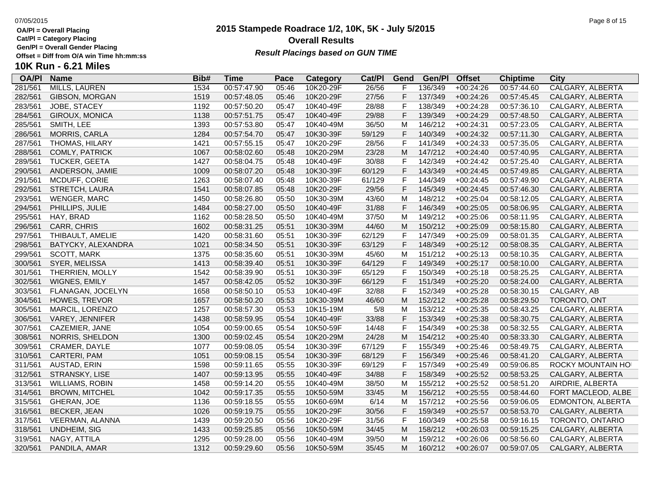**Cat/Pl = Category Placing**

**Gen/Pl = Overall Gender Placing**

### **10K Run - 6.21 Miles**

### **OA/Pl Name Bib# Time Category Cat/Pl Gen/Pl Pace Category Cat/PI Gend Gen/PI Offset Chiptime City**<br>05:46 10K20-29F 26/56 F 136/349 +00:24:26 00:57:44.60 CALGARY. ALBERTA 281/561 MILLS, LAUREN 1534 00:57:47.90 05:46 10K20-29F 26/56 F 136/349 +00:24:26 00:57:44.60 CALGARY, ALBERTA 282/561 GIBSON, MORGAN 1519 00:57:48.05 05:46 10K20-29F 27/56 F 137/349 +00:24:26 00:57:45.45 CALGARY, ALBERTA 283/561 JOBE, STACEY 1192 00:57:50.20 05:47 10K40-49F 28/88 F 138/349 +00:24:28 00:57:36.10 CALGARY, ALBERTA 284/561 GIROUX, MONICA 1138 00:57:51.75 05:47 10K40-49F 29/88 F 139/349 +00:24:29 00:57:48.50 CALGARY, ALBERTA 285/561 SMITH, LEE 1393 00:57:53.80 05:47 10K40-49M 36/50 M 146/212 +00:24:31 00:57:23.05 CALGARY, ALBERTA 286/561 MORRIS, CARLA 1284 00:57:54.70 05:47 10K30-39F 59/129 F 140/349 +00:24:32 00:57:11.30 CALGARY, ALBERTA 287/561 THOMAS, HILARY 1421 00:57:55.15 05:47 10K20-29F 28/56 F 141/349 +00:24:33 00:57:35.05 CALGARY, ALBERTA 288/561 COMLY, PATRICK 1067 00:58:02.60 05:48 10K20-29M 23/28 M 147/212 +00:24:40 00:57:40.95 CALGARY, ALBERTA 289/561 TUCKER, GEETA 1427 00:58:04.75 05:48 10K40-49F 30/88 F 142/349 +00:24:42 00:57:25.40 CALGARY, ALBERTA 290/561 ANDERSON, JAMIE 1009 00:58:07.20 05:48 10K30-39F 60/129 F 143/349 +00:24:45 00:57:49.85 CALGARY, ALBERTA 291/561 MCDUFF, CORIE 1263 00:58:07.40 05:48 10K30-39F 61/129 F 144/349 +00:24:45 00:57:49.90 CALGARY, ALBERTA 292/561 STRETCH, LAURA 1541 00:58:07.85 05:48 10K20-29F 29/56 F 145/349 +00:24:45 00:57:46.30 CALGARY, ALBERTA 293/561 WENGER, MARC 1450 00:58:26.80 05:50 10K30-39M 43/60 M 148/212 +00:25:04 00:58:12.05 CALGARY, ALBERTA 294/561 PHILLIPS, JULIE 1484 00:58:27.00 05:50 10K40-49F 31/88 F 146/349 +00:25:05 00:58:06.95 CALGARY, ALBERTA 295/561 HAY, BRAD 1162 00:58:28.50 05:50 10K40-49M 37/50 M 149/212 +00:25:06 00:58:11.95 CALGARY, ALBERTA 296/561 CARR, CHRIS 1602 00:58:31.25 05:51 10K30-39M 44/60 M 150/212 +00:25:09 00:58:15.80 CALGARY, ALBERTA 297/561 THIBAULT, AMELIE 1420 00:58:31.60 05:51 10K30-39F 62/129 F 147/349 +00:25:09 00:58:01.35 CALGARY, ALBERTA 298/561 BATYCKY, ALEXANDRA 1021 00:58:34.50 05:51 10K30-39F 63/129 F 148/349 +00:25:12 00:58:08.35 CALGARY, ALBERTA 299/561 SCOTT, MARK 1375 00:58:35.60 05:51 10K30-39M 45/60 M 151/212 +00:25:13 00:58:10.35 CALGARY, ALBERTA 300/561 SYER, MELISSA 1413 00:58:39.40 05:51 10K30-39F 64/129 F 149/349 +00:25:17 00:58:10.00 CALGARY, ALBERTA 301/561 THERRIEN, MOLLY 1542 00:58:39.90 05:51 10K30-39F 65/129 F 150/349 +00:25:18 00:58:25.25 CALGARY, ALBERTA 302/561 WIGNES, EMILY 1457 00:58:42.05 05:52 10K30-39F 66/129 F 151/349 +00:25:20 00:58:24.00 CALGARY, ALBERTA 303/561 FLANAGAN, JOCELYN 1658 00:58:50.10 05:53 10K40-49F 32/88 F 152/349 +00:25:28 00:58:30.15 CALGARY, AB 304/561 HOWES, TREVOR 1657 00:58:50.20 05:53 10K30-39M 46/60 M 152/212 +00:25:28 00:58:29.50 TORONTO, ONT 305/561 MARCIL, LORENZO 1257 00:58:57.30 05:53 10K15-19M 5/8 M 153/212 +00:25:35 00:58:43.25 CALGARY, ALBERTA 306/561 VAREY, JENNIFER 1438 00:58:59.95 05:54 10K40-49F 33/88 F 153/349 +00:25:38 00:58:30.75 CALGARY, ALBERTA 307/561 CAZEMIER, JANE 1054 00:59:00.65 05:54 10K50-59F 14/48 F 154/349 +00:25:38 00:58:32.55 CALGARY, ALBERTA 308/561 NORRIS, SHELDON 1300 00:59:02.45 05:54 10K20-29M 24/28 M 154/212 +00:25:40 00:58:33.30 CALGARY, ALBERTA 309/561 CRAMER, DAYLE 1077 00:59:08.05 05:54 10K30-39F 67/129 F 155/349 +00:25:46 00:58:49.75 CALGARY, ALBERTA 310/561 CARTERI, PAM 1051 00:59:08.15 05:54 10K30-39F 68/129 F 156/349 +00:25:46 00:58:41.20 CALGARY, ALBERTA 311/561 AUSTAD, ERIN 1598 1598 00:59:11.65 05:55 10K30-39F 69/129 F 157/349 +00:25:49 00:59:06.85 ROCKY MOUNTAIN HO 312/561 STRANSKY, LISE 1407 00:59:13.95 05:55 10K40-49F 34/88 F 158/349 +00:25:52 00:58:53.25 CALGARY, ALBERTA 313/561 WILLIAMS, ROBIN 1458 00:59:14.20 05:55 10K40-49M 38/50 M 155/212 +00:25:52 00:58:51.20 AIRDRIE, ALBERTA 314/561 BROWN, MITCHEL 1042 00:59:17.35 05:55 10K50-59M 33/45 M 156/212 +00:25:55 00:58:44.60 FORT MACLEOD, ALBE 315/561 GHERAN, JOE 1136 00:59:18.55 05:55 10K60-69M 6/14 M 157/212 +00:25:56 00:59:06.05 EDMONTON, ALBERTA 316/561 BECKER, JEAN 1026 00:59:19.75 05:55 10K20-29F 30/56 F 159/349 +00:25:57 00:58:53.70 CALGARY, ALBERTA 317/561 VEERMAN, ALANNA 1439 00:59:20.50 05:56 10K20-29F 31/56 F 160/349 +00:25:58 00:59:16.15 TORONTO, ONTARIO 318/561 UNDHEIM, SIG 1433 00:59:25.85 05:56 10K50-59M 34/45 M 158/212 +00:26:03 00:59:15.25 CALGARY, ALBERTA 319/561 NAGY, ATTILA 1295 00:59:28.00 05:56 10K40-49M 39/50 M 159/212 +00:26:06 00:58:56.60 CALGARY, ALBERTA 320/561 PANDILA, AMAR 1312 00:59:29.60 05:56 10K50-59M 35/45 M 160/212 +00:26:07 00:59:07.05 CALGARY, ALBERTA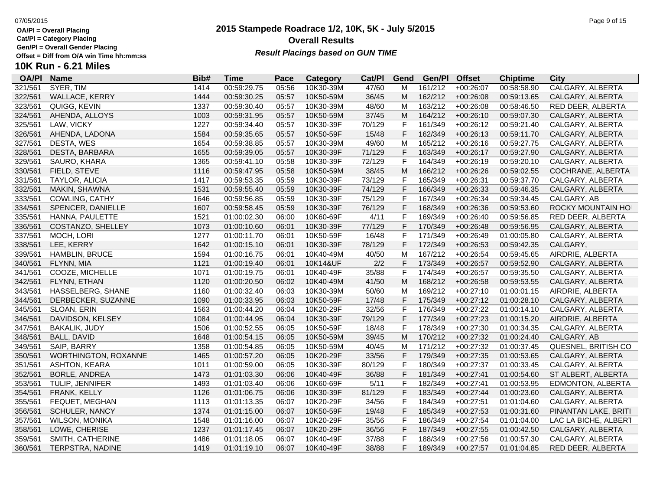**Cat/Pl = Category Placing**

**Gen/Pl = Overall Gender Placing**

# **10K Run - 6.21 Miles**

| <b>OA/PI</b> | <b>Name</b>           | Bib# | <b>Time</b> | Pace  | <b>Category</b> | Cat/PI | Gend         | Gen/Pl  | <b>Offset</b> | <b>Chiptime</b> | <b>City</b>             |
|--------------|-----------------------|------|-------------|-------|-----------------|--------|--------------|---------|---------------|-----------------|-------------------------|
| 321/561      | SYER, TIM             | 1414 | 00:59:29.75 | 05:56 | 10K30-39M       | 47/60  | м            | 161/212 | $+00:26:07$   | 00:58:58.90     | <b>CALGARY, ALBERTA</b> |
| 322/561      | <b>WALLACE, KERRY</b> | 1444 | 00:59:30.25 | 05:57 | 10K50-59M       | 36/45  | M            | 162/212 | $+00:26:08$   | 00:59:13.65     | CALGARY, ALBERTA        |
| 323/561      | QUIGG, KEVIN          | 1337 | 00:59:30.40 | 05:57 | 10K30-39M       | 48/60  | M            | 163/212 | $+00:26:08$   | 00:58:46.50     | RED DEER, ALBERTA       |
| 324/561      | AHENDA, ALLOYS        | 1003 | 00:59:31.95 | 05:57 | 10K50-59M       | 37/45  | M            | 164/212 | $+00:26:10$   | 00:59:07.30     | CALGARY, ALBERTA        |
| 325/561      | LAW, VICKY            | 1227 | 00:59:34.40 | 05:57 | 10K30-39F       | 70/129 | F            | 161/349 | $+00:26:12$   | 00:59:21.40     | CALGARY, ALBERTA        |
| 326/561      | AHENDA, LADONA        | 1584 | 00:59:35.65 | 05:57 | 10K50-59F       | 15/48  | F            | 162/349 | $+00:26:13$   | 00:59:11.70     | CALGARY, ALBERTA        |
| 327/561      | DESTA, WES            | 1654 | 00:59:38.85 | 05:57 | 10K30-39M       | 49/60  | M            | 165/212 | $+00:26:16$   | 00:59:27.75     | CALGARY, ALBERTA        |
| 328/561      | DESTA, BARBARA        | 1655 | 00:59:39.05 | 05:57 | 10K30-39F       | 71/129 | F            | 163/349 | $+00:26:17$   | 00:59:27.90     | CALGARY, ALBERTA        |
| 329/561      | SAURO, KHARA          | 1365 | 00:59:41.10 | 05:58 | 10K30-39F       | 72/129 | F            | 164/349 | $+00:26:19$   | 00:59:20.10     | CALGARY, ALBERTA        |
| 330/561      | FIELD, STEVE          | 1116 | 00:59:47.95 | 05:58 | 10K50-59M       | 38/45  | M            | 166/212 | $+00:26:26$   | 00:59:02.55     | COCHRANE, ALBERTA       |
| 331/561      | TAYLOR, ALICIA        | 1417 | 00:59:53.35 | 05:59 | 10K30-39F       | 73/129 | F            | 165/349 | $+00:26:31$   | 00:59:37.70     | CALGARY, ALBERTA        |
| 332/561      | MAKIN, SHAWNA         | 1531 | 00:59:55.40 | 05:59 | 10K30-39F       | 74/129 | F            | 166/349 | $+00:26:33$   | 00:59:46.35     | CALGARY, ALBERTA        |
| 333/561      | COWLING, CATHY        | 1646 | 00:59:56.85 | 05:59 | 10K30-39F       | 75/129 | F            | 167/349 | $+00:26:34$   | 00:59:34.45     | CALGARY, AB             |
| 334/561      | SPENCER, DANIELLE     | 1607 | 00:59:58.45 | 05:59 | 10K30-39F       | 76/129 | F            | 168/349 | $+00:26:36$   | 00:59:53.60     | ROCKY MOUNTAIN HO       |
| 335/561      | HANNA, PAULETTE       | 1521 | 01:00:02.30 | 06:00 | 10K60-69F       | 4/11   | F            | 169/349 | $+00:26:40$   | 00:59:56.85     | RED DEER, ALBERTA       |
| 336/561      | COSTANZO, SHELLEY     | 1073 | 01:00:10.60 | 06:01 | 10K30-39F       | 77/129 | F            | 170/349 | $+00:26:48$   | 00:59:56.95     | CALGARY, ALBERTA        |
| 337/561      | MOCH, LORI            | 1277 | 01:00:11.70 | 06:01 | 10K50-59F       | 16/48  | F            | 171/349 | $+00:26:49$   | 01:00:05.80     | CALGARY, ALBERTA        |
| 338/561      | LEE, KERRY            | 1642 | 01:00:15.10 | 06:01 | 10K30-39F       | 78/129 | F            | 172/349 | $+00:26:53$   | 00:59:42.35     | CALGARY,                |
| 339/561      | HAMBLIN, BRUCE        | 1594 | 01:00:16.75 | 06:01 | 10K40-49M       | 40/50  | M            | 167/212 | $+00:26:54$   | 00:59:45.65     | AIRDRIE, ALBERTA        |
| 340/561      | FLYNN, MIA            | 1121 | 01:00:19.40 | 06:01 | 10K14&UF        | 2/2    | F            | 173/349 | $+00:26:57$   | 00:59:52.90     | CALGARY, ALBERTA        |
| 341/561      | COOZE, MICHELLE       | 1071 | 01:00:19.75 | 06:01 | 10K40-49F       | 35/88  | F            | 174/349 | $+00:26:57$   | 00:59:35.50     | CALGARY, ALBERTA        |
| 342/561      | FLYNN, ETHAN          | 1120 | 01:00:20.50 | 06:02 | 10K40-49M       | 41/50  | M            | 168/212 | $+00:26:58$   | 00:59:53.55     | CALGARY, ALBERTA        |
| 343/561      | HASSELBERG, SHANE     | 1160 | 01:00:32.40 | 06:03 | 10K30-39M       | 50/60  | M            | 169/212 | $+00:27:10$   | 01:00:01.15     | AIRDRIE, ALBERTA        |
| 344/561      | DERBECKER, SUZANNE    | 1090 | 01:00:33.95 | 06:03 | 10K50-59F       | 17/48  | F            | 175/349 | $+00:27:12$   | 01:00:28.10     | CALGARY, ALBERTA        |
| 345/561      | SLOAN, ERIN           | 1563 | 01:00:44.20 | 06:04 | 10K20-29F       | 32/56  | F            | 176/349 | $+00:27:22$   | 01:00:14.10     | CALGARY, ALBERTA        |
| 346/561      | DAVIDSON, KELSEY      | 1084 | 01:00:44.95 | 06:04 | 10K30-39F       | 79/129 | F            | 177/349 | $+00:27:23$   | 01:00:15.20     | AIRDRIE, ALBERTA        |
| 347/561      | <b>BAKALIK, JUDY</b>  | 1506 | 01:00:52.55 | 06:05 | 10K50-59F       | 18/48  | F            | 178/349 | $+00:27:30$   | 01:00:34.35     | CALGARY, ALBERTA        |
| 348/561      | <b>BALL, DAVID</b>    | 1648 | 01:00:54.15 | 06:05 | 10K50-59M       | 39/45  | М            | 170/212 | $+00:27:32$   | 01:00:24.40     | CALGARY, AB             |
| 349/561      | SAIP, BARRY           | 1358 | 01:00:54.85 | 06:05 | 10K50-59M       | 40/45  | M            | 171/212 | $+00:27:32$   | 01:00:37.45     | QUESNEL, BRITISH CO     |
| 350/561      | WORTHINGTON, ROXANNE  | 1465 | 01:00:57.20 | 06:05 | 10K20-29F       | 33/56  | F            | 179/349 | $+00:27:35$   | 01:00:53.65     | CALGARY, ALBERTA        |
| 351/561      | ASHTON, KEARA         | 1011 | 01:00:59.00 | 06:05 | 10K30-39F       | 80/129 | F            | 180/349 | $+00:27:37$   | 01:00:33.45     | CALGARY, ALBERTA        |
| 352/561      | BORLE, ANDREA         | 1473 | 01:01:03.30 | 06:06 | 10K40-49F       | 36/88  | F            | 181/349 | $+00:27:41$   | 01:00:54.60     | ST ALBERT, ALBERTA      |
| 353/561      | TULIP, JENNIFER       | 1493 | 01:01:03.40 | 06:06 | 10K60-69F       | 5/11   | F            | 182/349 | $+00:27:41$   | 01:00:53.95     | EDMONTON, ALBERTA       |
| 354/561      | FRANK, KELLY          | 1126 | 01:01:06.75 | 06:06 | 10K30-39F       | 81/129 | $\mathsf{F}$ | 183/349 | $+00:27:44$   | 01:00:23.60     | CALGARY, ALBERTA        |
| 355/561      | FEQUET, MEGHAN        | 1113 | 01:01:13.35 | 06:07 | 10K20-29F       | 34/56  | $\mathsf{F}$ | 184/349 | $+00:27:51$   | 01:01:04.60     | CALGARY, ALBERTA        |
| 356/561      | <b>SCHULER, NANCY</b> | 1374 | 01:01:15.00 | 06:07 | 10K50-59F       | 19/48  | F            | 185/349 | $+00:27:53$   | 01:00:31.60     | PINANTAN LAKE, BRITI    |
| 357/561      | <b>WILSON, MONIKA</b> | 1548 | 01:01:16.00 | 06:07 | 10K20-29F       | 35/56  | F            | 186/349 | $+00:27:54$   | 01:01:04.00     | LAC LA BICHE, ALBERT    |
| 358/561      | LOWE, CHERISE         | 1237 | 01:01:17.45 | 06:07 | 10K20-29F       | 36/56  | F            | 187/349 | $+00:27:55$   | 01:00:42.50     | CALGARY, ALBERTA        |
| 359/561      | SMITH, CATHERINE      | 1486 | 01:01:18.05 | 06:07 | 10K40-49F       | 37/88  | F            | 188/349 | $+00:27:56$   | 01:00:57.30     | CALGARY, ALBERTA        |
| 360/561      | TERPSTRA, NADINE      | 1419 | 01:01:19.10 | 06:07 | 10K40-49F       | 38/88  | F            | 189/349 | $+00:27:57$   | 01:01:04.85     | RED DEER, ALBERTA       |
|              |                       |      |             |       |                 |        |              |         |               |                 |                         |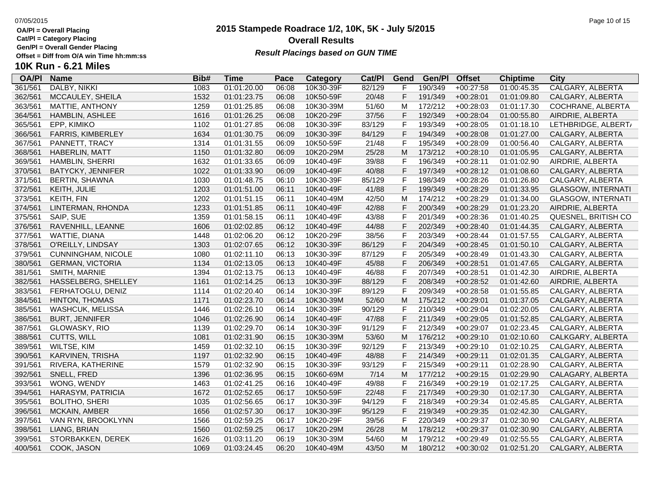**Cat/Pl = Category Placing**

**Gen/Pl = Overall Gender Placing**

### **2015 Stampede Roadrace 1/2, 10K, 5K - July 5/2015** 07/05/2015 Page 10 of 15 **Overall Results**

**Result Placings based on GUN TIME** 

| <b>OA/PI</b> | <b>Name</b>               | Bib# | Time        | Pace  | Category  | Cat/PI | Gend           | Gen/Pl  | <b>Offset</b> | <b>Chiptime</b> | City                      |
|--------------|---------------------------|------|-------------|-------|-----------|--------|----------------|---------|---------------|-----------------|---------------------------|
| 361/561      | DALBY, NIKKI              | 1083 | 01:01:20.00 | 06:08 | 10K30-39F | 82/129 |                | 190/349 | $+00:27:58$   | 01:00:45.35     | <b>CALGARY, ALBERTA</b>   |
| 362/561      | MCCAULEY, SHEILA          | 1532 | 01:01:23.75 | 06:08 | 10K50-59F | 20/48  | F              | 191/349 | $+00:28:01$   | 01:01:09.80     | CALGARY, ALBERTA          |
| 363/561      | MATTIE, ANTHONY           | 1259 | 01:01:25.85 | 06:08 | 10K30-39M | 51/60  | M              | 172/212 | $+00:28:03$   | 01:01:17.30     | COCHRANE, ALBERTA         |
| 364/561      | HAMBLIN, ASHLEE           | 1616 | 01:01:26.25 | 06:08 | 10K20-29F | 37/56  | F              | 192/349 | $+00:28:04$   | 01:00:55.80     | AIRDRIE, ALBERTA          |
| 365/561      | EPP, KIMIKO               | 1102 | 01:01:27.85 | 06:08 | 10K30-39F | 83/129 | $\mathsf{F}$   | 193/349 | $+00:28:05$   | 01:01:18.10     | LETHBRIDGE, ALBERT/       |
| 366/561      | FARRIS, KIMBERLEY         | 1634 | 01:01:30.75 | 06:09 | 10K30-39F | 84/129 | $\mathsf F$    | 194/349 | $+00:28:08$   | 01:01:27.00     | CALGARY, ALBERTA          |
| 367/561      | PANNETT, TRACY            | 1314 | 01:01:31.55 | 06:09 | 10K50-59F | 21/48  | F              | 195/349 | $+00:28:09$   | 01:00:56.40     | CALGARY, ALBERTA          |
| 368/561      | <b>HABERLIN, MATT</b>     | 1150 | 01:01:32.80 | 06:09 | 10K20-29M | 25/28  | M              | 173/212 | $+00:28:10$   | 01:01:05.95     | CALGARY, ALBERTA          |
| 369/561      | HAMBLIN, SHERRI           | 1632 | 01:01:33.65 | 06:09 | 10K40-49F | 39/88  | F              | 196/349 | $+00:28:11$   | 01:01:02.90     | AIRDRIE, ALBERTA          |
| 370/561      | <b>BATYCKY, JENNIFER</b>  | 1022 | 01:01:33.90 | 06:09 | 10K40-49F | 40/88  | F              | 197/349 | $+00:28:12$   | 01:01:08.60     | CALGARY, ALBERTA          |
| 371/561      | <b>BERTIN, SHAWNA</b>     | 1030 | 01:01:48.75 | 06:10 | 10K30-39F | 85/129 | F              | 198/349 | $+00:28:26$   | 01:01:26.80     | CALGARY, ALBERTA          |
| 372/561      | KEITH, JULIE              | 1203 | 01:01:51.00 | 06:11 | 10K40-49F | 41/88  | $\mathsf{F}$   | 199/349 | $+00:28:29$   | 01:01:33.95     | <b>GLASGOW, INTERNATI</b> |
| 373/561      | KEITH, FIN                | 1202 | 01:01:51.15 | 06:11 | 10K40-49M | 42/50  | M              | 174/212 | $+00:28:29$   | 01:01:34.00     | <b>GLASGOW, INTERNATI</b> |
| 374/561      | LINTERMAN, RHONDA         | 1233 | 01:01:51.85 | 06:11 | 10K40-49F | 42/88  | F              | 200/349 | $+00:28:29$   | 01:01:23.20     | AIRDRIE, ALBERTA          |
| 375/561      | SAIP, SUE                 | 1359 | 01:01:58.15 | 06:11 | 10K40-49F | 43/88  | F              | 201/349 | $+00:28:36$   | 01:01:40.25     | QUESNEL, BRITISH CO       |
| 376/561      | RAVENHILL, LEANNE         | 1606 | 01:02:02.85 | 06:12 | 10K40-49F | 44/88  | $\mathsf F$    | 202/349 | $+00:28:40$   | 01:01:44.35     | CALGARY, ALBERTA          |
| 377/561      | WATTIE, DIANA             | 1448 | 01:02:06.20 | 06:12 | 10K20-29F | 38/56  | F              | 203/349 | $+00:28:44$   | 01:01:57.55     | CALGARY, ALBERTA          |
| 378/561      | O'REILLY, LINDSAY         | 1303 | 01:02:07.65 | 06:12 | 10K30-39F | 86/129 | $\mathsf{F}$   | 204/349 | $+00:28:45$   | 01:01:50.10     | CALGARY, ALBERTA          |
| 379/561      | <b>CUNNINGHAM, NICOLE</b> | 1080 | 01:02:11.10 | 06:13 | 10K30-39F | 87/129 | $\mathsf{F}$   | 205/349 | $+00:28:49$   | 01:01:43.30     | CALGARY, ALBERTA          |
| 380/561      | <b>GERMAN, VICTORIA</b>   | 1134 | 01:02:13.05 | 06:13 | 10K40-49F | 45/88  | F              | 206/349 | $+00:28:51$   | 01:01:47.65     | CALGARY, ALBERTA          |
| 381/561      | SMITH, MARNIE             | 1394 | 01:02:13.75 | 06:13 | 10K40-49F | 46/88  | $\mathsf{F}$   | 207/349 | $+00:28:51$   | 01:01:42.30     | AIRDRIE, ALBERTA          |
| 382/561      | HASSELBERG, SHELLEY       | 1161 | 01:02:14.25 | 06:13 | 10K30-39F | 88/129 | $\mathsf F$    | 208/349 | $+00:28:52$   | 01:01:42.60     | AIRDRIE, ALBERTA          |
| 383/561      | FERHATOGLU, DENIZ         | 1114 | 01:02:20.40 | 06:14 | 10K30-39F | 89/129 | $\mathsf F$    | 209/349 | $+00:28:58$   | 01:01:55.85     | CALGARY, ALBERTA          |
| 384/561      | <b>HINTON, THOMAS</b>     | 1171 | 01:02:23.70 | 06:14 | 10K30-39M | 52/60  | M              | 175/212 | $+00:29:01$   | 01:01:37.05     | CALGARY, ALBERTA          |
| 385/561      | <b>WASHCUK, MELISSA</b>   | 1446 | 01:02:26.10 | 06:14 | 10K30-39F | 90/129 | F              | 210/349 | $+00:29:04$   | 01:02:20.05     | CALGARY, ALBERTA          |
| 386/561      | <b>BURT, JENNIFER</b>     | 1046 | 01:02:26.90 | 06:14 | 10K40-49F | 47/88  | $\mathsf F$    | 211/349 | $+00:29:05$   | 01:01:52.85     | CALGARY, ALBERTA          |
| 387/561      | GLOWASKY, RIO             | 1139 | 01:02:29.70 | 06:14 | 10K30-39F | 91/129 | F              | 212/349 | $+00:29:07$   | 01:02:23.45     | CALGARY, ALBERTA          |
| 388/561      | CUTTS, WILL               | 1081 | 01:02:31.90 | 06:15 | 10K30-39M | 53/60  | M              | 176/212 | $+00:29:10$   | 01:02:10.60     | CALKGARY, ALBERTA         |
| 389/561      | WILTSE, KIM               | 1459 | 01:02:32.10 | 06:15 | 10K30-39F | 92/129 | F              | 213/349 | $+00:29:10$   | 01:02:10.25     | CALGARY, ALBERTA          |
| 390/561      | KARVINEN, TRISHA          | 1197 | 01:02:32.90 | 06:15 | 10K40-49F | 48/88  | F              | 214/349 | $+00:29:11$   | 01:02:01.35     | CALGARY, ALBERTA          |
| 391/561      | RIVERA, KATHERINE         | 1579 | 01:02:32.90 | 06:15 | 10K30-39F | 93/129 | $\mathsf F$    | 215/349 | $+00:29:11$   | 01:02:28.90     | CALGARY, ALBERTA          |
| 392/561      | SNELL, FRED               | 1396 | 01:02:36.95 | 06:15 | 10K60-69M | 7/14   | M              | 177/212 | $+00:29:15$   | 01:02:29.90     | CALAGARY, ALBERTA         |
| 393/561      | WONG, WENDY               | 1463 | 01:02:41.25 | 06:16 | 10K40-49F | 49/88  | F              | 216/349 | $+00:29:19$   | 01:02:17.25     | CALGARY, ALBERTA          |
| 394/561      | HARASYM, PATRICIA         | 1672 | 01:02:52.65 | 06:17 | 10K50-59F | 22/48  | F              | 217/349 | $+00:29:30$   | 01:02:17.30     | CALGARY, ALBERTA          |
| 395/561      | <b>BOLITHO, SHERI</b>     | 1035 | 01:02:56.65 | 06:17 | 10K30-39F | 94/129 | $\mathsf{F}$   | 218/349 | $+00:29:34$   | 01:02:45.85     | CALGARY, ALBERTA          |
| 396/561      | <b>MCKAIN, AMBER</b>      | 1656 | 01:02:57.30 | 06:17 | 10K30-39F | 95/129 | $\overline{F}$ | 219/349 | $+00:29:35$   | 01:02:42.30     | CALGARY,                  |
| 397/561      | VAN RYN, BROOKLYNN        | 1566 | 01:02:59.25 | 06:17 | 10K20-29F | 39/56  | F              | 220/349 | $+00:29:37$   | 01:02:30.90     | CALGARY, ALBERTA          |
| 398/561      | LIANG, BRIAN              | 1560 | 01:02:59.25 | 06:17 | 10K20-29M | 26/28  | M              | 178/212 | $+00:29:37$   | 01:02:30.90     | CALGARY, ALBERTA          |
| 399/561      | STORBAKKEN, DEREK         | 1626 | 01:03:11.20 | 06:19 | 10K30-39M | 54/60  | M              | 179/212 | $+00:29:49$   | 01:02:55.55     | CALGARY, ALBERTA          |
| 400/561      | COOK, JASON               | 1069 | 01:03:24.45 | 06:20 | 10K40-49M | 43/50  | M              | 180/212 | $+00:30:02$   | 01:02:51.20     | CALGARY, ALBERTA          |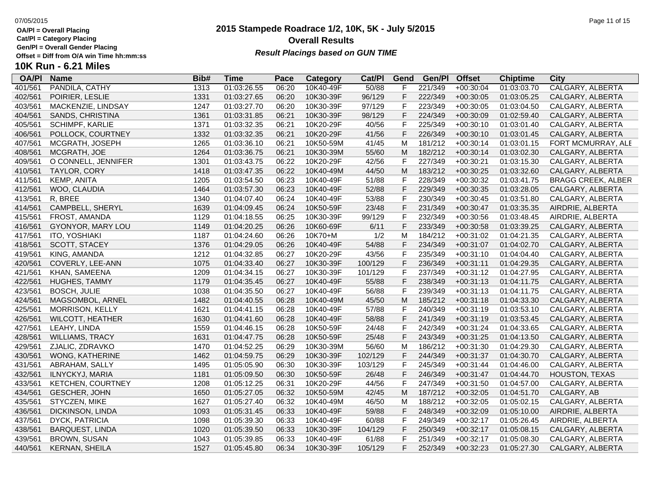**Cat/Pl = Category Placing**

# **Gen/Pl = Overall Gender Placing**

## **10K Run - 6.21 Miles**

| <b>OA/PI</b> | <b>Name</b>             | Bib# | <b>Time</b> | Pace  | Category  | Cat/PI  | Gend         | Gen/Pl  | <b>Offset</b> | <b>Chiptime</b> | City                      |
|--------------|-------------------------|------|-------------|-------|-----------|---------|--------------|---------|---------------|-----------------|---------------------------|
| 401/561      | PANDILA, CATHY          | 1313 | 01:03:26.55 | 06:20 | 10K40-49F | 50/88   |              | 221/349 | $+00:30:04$   | 01:03:03.70     | CALGARY, ALBERTA          |
| 402/561      | POIRIER, LESLIE         | 1331 | 01:03:27.65 | 06:20 | 10K30-39F | 96/129  | E            | 222/349 | $+00:30:05$   | 01:03:05.25     | CALGARY, ALBERTA          |
| 403/561      | MACKENZIE, LINDSAY      | 1247 | 01:03:27.70 | 06:20 | 10K30-39F | 97/129  | F            | 223/349 | $+00:30:05$   | 01:03:04.50     | CALGARY, ALBERTA          |
| 404/561      | SANDS, CHRISTINA        | 1361 | 01:03:31.85 | 06:21 | 10K30-39F | 98/129  | F            | 224/349 | $+00:30:09$   | 01:02:59.40     | CALGARY, ALBERTA          |
| 405/561      | SCHIMPF, KARLIE         | 1371 | 01:03:32.35 | 06:21 | 10K20-29F | 40/56   | F            | 225/349 | $+00:30:10$   | 01:03:01.40     | CALGARY, ALBERTA          |
| 406/561      | POLLOCK, COURTNEY       | 1332 | 01:03:32.35 | 06:21 | 10K20-29F | 41/56   | F            | 226/349 | $+00:30:10$   | 01:03:01.45     | CALGARY, ALBERTA          |
| 407/561      | MCGRATH, JOSEPH         | 1265 | 01:03:36.10 | 06:21 | 10K50-59M | 41/45   | M            | 181/212 | $+00:30:14$   | 01:03:01.15     | FORT MCMURRAY, ALE        |
| 408/561      | MCGRATH, JOE            | 1264 | 01:03:36.75 | 06:21 | 10K30-39M | 55/60   | M            | 182/212 | $+00:30:14$   | 01:03:02.30     | CALGARY, ALBERTA          |
| 409/561      | O CONNELL, JENNIFER     | 1301 | 01:03:43.75 | 06:22 | 10K20-29F | 42/56   | F            | 227/349 | $+00:30:21$   | 01:03:15.30     | CALGARY, ALBERTA          |
| 410/561      | <b>TAYLOR, CORY</b>     | 1418 | 01:03:47.35 | 06:22 | 10K40-49M | 44/50   | M            | 183/212 | $+00:30:25$   | 01:03:32.60     | CALGARY, ALBERTA          |
| 411/561      | KEMP, ANITA             | 1205 | 01:03:54.50 | 06:23 | 10K40-49F | 51/88   | F            | 228/349 | $+00:30:32$   | 01:03:41.75     | <b>BRAGG CREEK, ALBER</b> |
| 412/561      | WOO, CLAUDIA            | 1464 | 01:03:57.30 | 06:23 | 10K40-49F | 52/88   | $\mathsf F$  | 229/349 | $+00:30:35$   | 01:03:28.05     | CALGARY, ALBERTA          |
| 413/561      | R, BREE                 | 1340 | 01:04:07.40 | 06:24 | 10K40-49F | 53/88   | F            | 230/349 | $+00:30:45$   | 01:03:51.80     | CALGARY, ALBERTA          |
| 414/561      | CAMPBELL, SHERYL        | 1639 | 01:04:09.45 | 06:24 | 10K50-59F | 23/48   | F            | 231/349 | $+00:30:47$   | 01:03:35.35     | AIRDRIE, ALBERTA          |
| 415/561      | FROST, AMANDA           | 1129 | 01:04:18.55 | 06:25 | 10K30-39F | 99/129  | F            | 232/349 | $+00:30:56$   | 01:03:48.45     | AIRDRIE, ALBERTA          |
| 416/561      | GYONYOR, MARY LOU       | 1149 | 01:04:20.25 | 06:26 | 10K60-69F | 6/11    | F            | 233/349 | $+00:30:58$   | 01:03:39.25     | CALGARY, ALBERTA          |
| 417/561      | <b>ITO, YOSHIAKI</b>    | 1187 | 01:04:24.60 | 06:26 | 10K70+M   | 1/2     | M            | 184/212 | $+00:31:02$   | 01:04:21.35     | CALGARY, ALBERTA          |
| 418/561      | SCOTT, STACEY           | 1376 | 01:04:29.05 | 06:26 | 10K40-49F | 54/88   | F            | 234/349 | $+00:31:07$   | 01:04:02.70     | CALGARY, ALBERTA          |
| 419/561      | KING, AMANDA            | 1212 | 01:04:32.85 | 06:27 | 10K20-29F | 43/56   | F            | 235/349 | $+00:31:10$   | 01:04:04.40     | CALGARY, ALBERTA          |
| 420/561      | COVERLY, LEE-ANN        | 1075 | 01:04:33.40 | 06:27 | 10K30-39F | 100/129 | F            | 236/349 | $+00:31:11$   | 01:04:29.35     | CALGARY, ALBERTA          |
| 421/561      | KHAN, SAMEENA           | 1209 | 01:04:34.15 | 06:27 | 10K30-39F | 101/129 | F            | 237/349 | $+00:31:12$   | 01:04:27.95     | CALGARY, ALBERTA          |
| 422/561      | HUGHES, TAMMY           | 1179 | 01:04:35.45 | 06:27 | 10K40-49F | 55/88   | F            | 238/349 | $+00:31:13$   | 01:04:11.75     | CALGARY, ALBERTA          |
| 423/561      | <b>BOSCH, JULIE</b>     | 1038 | 01:04:35.50 | 06:27 | 10K40-49F | 56/88   | F            | 239/349 | $+00:31:13$   | 01:04:11.75     | CALGARY, ALBERTA          |
| 424/561      | MAGSOMBOL, ARNEL        | 1482 | 01:04:40.55 | 06:28 | 10K40-49M | 45/50   | M            | 185/212 | $+00:31:18$   | 01:04:33.30     | CALGARY, ALBERTA          |
| 425/561      | <b>MORRISON, KELLY</b>  | 1621 | 01:04:41.15 | 06:28 | 10K40-49F | 57/88   | F            | 240/349 | $+00:31:19$   | 01:03:53.10     | CALGARY, ALBERTA          |
| 426/561      | <b>WILCOTT, HEATHER</b> | 1630 | 01:04:41.60 | 06:28 | 10K40-49F | 58/88   | F            | 241/349 | $+00:31:19$   | 01:03:53.45     | CALGARY, ALBERTA          |
| 427/561      | LEAHY, LINDA            | 1559 | 01:04:46.15 | 06:28 | 10K50-59F | 24/48   | F            | 242/349 | $+00:31:24$   | 01:04:33.65     | CALGARY, ALBERTA          |
| 428/561      | <b>WILLIAMS, TRACY</b>  | 1631 | 01:04:47.75 | 06:28 | 10K50-59F | 25/48   | F            | 243/349 | $+00:31:25$   | 01:04:13.50     | CALGARY, ALBERTA          |
| 429/561      | ZJALIC, ZDRAVKO         | 1470 | 01:04:52.25 | 06:29 | 10K30-39M | 56/60   | M            | 186/212 | $+00:31:30$   | 01:04:29.30     | CALGARY, ALBERTA          |
| 430/561      | WONG, KATHERINE         | 1462 | 01:04:59.75 | 06:29 | 10K30-39F | 102/129 | F            | 244/349 | $+00:31:37$   | 01:04:30.70     | CALGARY, ALBERTA          |
| 431/561      | ABRAHAM, SALLY          | 1495 | 01:05:05.90 | 06:30 | 10K30-39F | 103/129 | F            | 245/349 | $+00:31:44$   | 01:04:46.00     | CALGARY, ALBERTA          |
| 432/561      | ILNYCKYJ, MARIA         | 1181 | 01:05:09.50 | 06:30 | 10K50-59F | 26/48   | E            | 246/349 | $+00:31:47$   | 01:04:44.70     | HOUSTON, TEXAS            |
| 433/561      | KETCHEN, COURTNEY       | 1208 | 01:05:12.25 | 06:31 | 10K20-29F | 44/56   | F            | 247/349 | $+00:31:50$   | 01:04:57.00     | CALGARY, ALBERTA          |
| 434/561      | GESCHER, JOHN           | 1650 | 01:05:27.05 | 06:32 | 10K50-59M | 42/45   | M            | 187/212 | $+00:32:05$   | 01:04:51.70     | CALGARY, AB               |
| 435/561      | STYCZEN, MIKE           | 1627 | 01:05:27.40 | 06:32 | 10K40-49M | 46/50   | M            | 188/212 | $+00:32:05$   | 01:05:02.15     | CALGARY, ALBERTA          |
| 436/561      | DICKINSON, LINDA        | 1093 | 01:05:31.45 | 06:33 | 10K40-49F | 59/88   | $\mathsf{F}$ | 248/349 | $+00:32:09$   | 01:05:10.00     | AIRDRIE, ALBERTA          |
| 437/561      | <b>DYCK, PATRICIA</b>   | 1098 | 01:05:39.30 | 06:33 | 10K40-49F | 60/88   | F            | 249/349 | $+00:32:17$   | 01:05:26.45     | AIRDRIE, ALBERTA          |
| 438/561      | <b>BARQUEST, LINDA</b>  | 1020 | 01:05:39.50 | 06:33 | 10K30-39F | 104/129 | E            | 250/349 | $+00:32:17$   | 01:05:08.15     | CALGARY, ALBERTA          |
| 439/561      | BROWN, SUSAN            | 1043 | 01:05:39.85 | 06:33 | 10K40-49F | 61/88   | F            | 251/349 | $+00:32:17$   | 01:05:08.30     | CALGARY, ALBERTA          |
| 440/561      | KERNAN, SHEILA          | 1527 | 01:05:45.80 | 06:34 | 10K30-39F | 105/129 | F            | 252/349 | $+00:32:23$   | 01:05:27.30     | CALGARY, ALBERTA          |

**2015 Stampede Roadrace 1/2, 10K, 5K - July 5/2015**

**Result Placings based on GUN TIME** 

**Overall Results**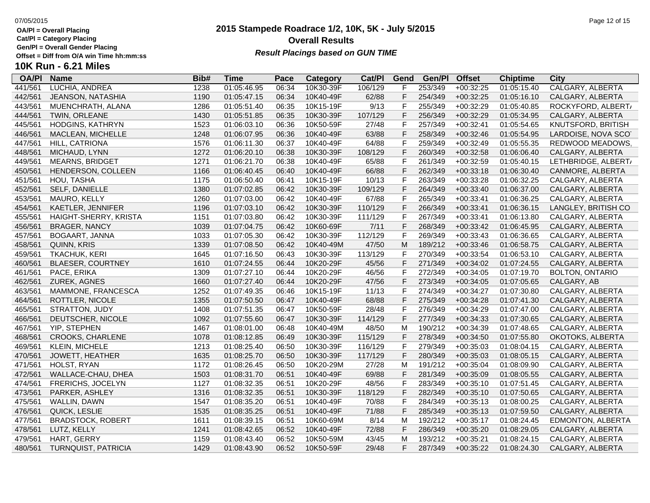**Cat/Pl = Category Placing**

**Gen/Pl = Overall Gender Placing**

### **2015 Stampede Roadrace 1/2, 10K, 5K - July 5/2015** 07/05/2015 Page 12 of 15 **Overall Results Result Placings based on GUN TIME**

| <b>OA/PI</b> | <b>Name</b>                | Bib# | Time        | Pace  | Category  | Cat/Pl  | Gend         | Gen/Pl  | <b>Offset</b> | <b>Chiptime</b> | City                    |
|--------------|----------------------------|------|-------------|-------|-----------|---------|--------------|---------|---------------|-----------------|-------------------------|
| 441/561      | LUCHIA, ANDREA             | 1238 | 01:05:46.95 | 06:34 | 10K30-39F | 106/129 | F            | 253/349 | $+00:32:25$   | 01:05:15.40     | <b>CALGARY, ALBERTA</b> |
| 442/561      | JEANSON, NATASHIA          | 1190 | 01:05:47.15 | 06:34 | 10K40-49F | 62/88   | F            | 254/349 | $+00:32:25$   | 01:05:16.10     | CALGARY, ALBERTA        |
| 443/561      | MUENCHRATH, ALANA          | 1286 | 01:05:51.40 | 06:35 | 10K15-19F | 9/13    | F            | 255/349 | $+00:32:29$   | 01:05:40.85     | ROCKYFORD, ALBERT/      |
| 444/561      | TWIN, ORLEANE              | 1430 | 01:05:51.85 | 06:35 | 10K30-39F | 107/129 | F            | 256/349 | $+00:32:29$   | 01:05:34.95     | CALGARY, ALBERTA        |
| 445/561      | HODGINS, KATHRYN           | 1523 | 01:06:03.10 | 06:36 | 10K50-59F | 27/48   | F            | 257/349 | $+00:32:41$   | 01:05:54.65     | KNUTSFORD, BRITISH      |
| 446/561      | MACLEAN, MICHELLE          | 1248 | 01:06:07.95 | 06:36 | 10K40-49F | 63/88   | F            | 258/349 | $+00:32:46$   | 01:05:54.95     | LARDOISE, NOVA SCO      |
| 447/561      | HILL, CATRIONA             | 1576 | 01:06:11.30 | 06:37 | 10K40-49F | 64/88   | $\mathsf{F}$ | 259/349 | $+00:32:49$   | 01:05:55.35     | REDWOOD MEADOWS,        |
| 448/561      | MICHAUD, LYNN              | 1272 | 01:06:20.10 | 06:38 | 10K30-39F | 108/129 | F            | 260/349 | $+00:32:58$   | 01:06:06.40     | CALGARY, ALBERTA        |
| 449/561      | <b>MEARNS, BRIDGET</b>     | 1271 | 01:06:21.70 | 06:38 | 10K40-49F | 65/88   | F            | 261/349 | $+00:32:59$   | 01:05:40.15     | LETHBRIDGE, ALBERT/     |
| 450/561      | HENDERSON, COLLEEN         | 1166 | 01:06:40.45 | 06:40 | 10K40-49F | 66/88   | F            | 262/349 | $+00:33:18$   | 01:06:30.40     | CANMORE, ALBERTA        |
| 451/561      | HOU, TASHA                 | 1175 | 01:06:50.40 | 06:41 | 10K15-19F | 10/13   | F            | 263/349 | $+00:33:28$   | 01:06:32.25     | CALGARY, ALBERTA        |
| 452/561      | SELF, DANIELLE             | 1380 | 01:07:02.85 | 06:42 | 10K30-39F | 109/129 | $\mathsf F$  | 264/349 | $+00:33:40$   | 01:06:37.00     | CALGARY, ALBERTA        |
| 453/561      | MAURO, KELLY               | 1260 | 01:07:03.00 | 06:42 | 10K40-49F | 67/88   | F            | 265/349 | $+00:33:41$   | 01:06:36.25     | CALGARY, ALBERTA        |
| 454/561      | KAETLER, JENNIFER          | 1196 | 01:07:03.10 | 06:42 | 10K30-39F | 110/129 | F            | 266/349 | $+00:33:41$   | 01:06:36.15     | LANGLEY, BRITISH CO     |
| 455/561      | HAIGHT-SHERRY, KRISTA      | 1151 | 01:07:03.80 | 06:42 | 10K30-39F | 111/129 | F            | 267/349 | $+00:33:41$   | 01:06:13.80     | CALGARY, ALBERTA        |
| 456/561      | <b>BRAGER, NANCY</b>       | 1039 | 01:07:04.75 | 06:42 | 10K60-69F | 7/11    | $\mathsf F$  | 268/349 | $+00:33:42$   | 01:06:45.95     | CALGARY, ALBERTA        |
| 457/561      | BOGAART, JANNA             | 1033 | 01:07:05.30 | 06:42 | 10K30-39F | 112/129 | F            | 269/349 | $+00:33:43$   | 01:06:36.65     | CALGARY, ALBERTA        |
| 458/561      | QUINN, KRIS                | 1339 | 01:07:08.50 | 06:42 | 10K40-49M | 47/50   | M            | 189/212 | $+00:33:46$   | 01:06:58.75     | CALGARY, ALBERTA        |
| 459/561      | <b>TKACHUK, KERI</b>       | 1645 | 01:07:16.50 | 06:43 | 10K30-39F | 113/129 | $\mathsf{F}$ | 270/349 | $+00:33:54$   | 01:06:53.10     | CALGARY, ALBERTA        |
| 460/561      | <b>BLAESER, COURTNEY</b>   | 1610 | 01:07:24.55 | 06:44 | 10K20-29F | 45/56   | F            | 271/349 | $+00:34:02$   | 01:07:24.55     | CALGARY, ALBERTA        |
| 461/561      | PACE, ERIKA                | 1309 | 01:07:27.10 | 06:44 | 10K20-29F | 46/56   | $\mathsf{F}$ | 272/349 | $+00:34:05$   | 01:07:19.70     | <b>BOLTON, ONTARIO</b>  |
| 462/561      | ZUREK, AGNES               | 1660 | 01:07:27.40 | 06:44 | 10K20-29F | 47/56   | F            | 273/349 | $+00:34:05$   | 01:07:05.65     | CALGARY, AB             |
| 463/561      | MAMMONE, FRANCESCA         | 1252 | 01:07:49.35 | 06:46 | 10K15-19F | 11/13   | F            | 274/349 | $+00:34:27$   | 01:07:30.80     | CALGARY, ALBERTA        |
| 464/561      | ROTTLER, NICOLE            | 1355 | 01:07:50.50 | 06:47 | 10K40-49F | 68/88   | F            | 275/349 | $+00:34:28$   | 01:07:41.30     | CALGARY, ALBERTA        |
| 465/561      | STRATTON, JUDY             | 1408 | 01:07:51.35 | 06:47 | 10K50-59F | 28/48   | F            | 276/349 | $+00:34:29$   | 01:07:47.00     | CALGARY, ALBERTA        |
| 466/561      | DEUTSCHER, NICOLE          | 1092 | 01:07:55.60 | 06:47 | 10K30-39F | 114/129 | F            | 277/349 | $+00:34:33$   | 01:07:30.65     | CALGARY, ALBERTA        |
| 467/561      | YIP, STEPHEN               | 1467 | 01:08:01.00 | 06:48 | 10K40-49M | 48/50   | M            | 190/212 | $+00:34:39$   | 01:07:48.65     | CALGARY, ALBERTA        |
| 468/561      | <b>CROOKS, CHARLENE</b>    | 1078 | 01:08:12.85 | 06:49 | 10K30-39F | 115/129 | F            | 278/349 | $+00:34:50$   | 01:07:55.80     | OKOTOKS, ALBERTA        |
| 469/561      | <b>KLEIN, MICHELE</b>      | 1213 | 01:08:25.40 | 06:50 | 10K30-39F | 116/129 | F            | 279/349 | $+00:35:03$   | 01:08:04.15     | CALGARY, ALBERTA        |
| 470/561      | JOWETT, HEATHER            | 1635 | 01:08:25.70 | 06:50 | 10K30-39F | 117/129 | F            | 280/349 | $+00:35:03$   | 01:08:05.15     | CALGARY, ALBERTA        |
| 471/561      | HOLST, RYAN                | 1172 | 01:08:26.45 | 06:50 | 10K20-29M | 27/28   | M            | 191/212 | $+00:35:04$   | 01:08:09.90     | CALGARY, ALBERTA        |
| 472/561      | WALLACE-CHAU, DHEA         | 1503 | 01:08:31.70 | 06:51 | 10K40-49F | 69/88   | F            | 281/349 | $+00:35:09$   | 01:08:05.55     | CALGARY, ALBERTA        |
| 474/561      | FRERICHS, JOCELYN          | 1127 | 01:08:32.35 | 06:51 | 10K20-29F | 48/56   | F            | 283/349 | $+00:35:10$   | 01:07:51.45     | CALGARY, ALBERTA        |
| 473/561      | PARKER, ASHLEY             | 1316 | 01:08:32.35 | 06:51 | 10K30-39F | 118/129 | F            | 282/349 | $+00:35:10$   | 01:07:50.65     | CALGARY, ALBERTA        |
| 475/561      | WALLIN, DAWN               | 1547 | 01:08:35.20 | 06:51 | 10K40-49F | 70/88   | F            | 284/349 | $+00:35:13$   | 01:08:00.25     | CALGARY, ALBERTA        |
| 476/561      | QUICK, LESLIE              | 1535 | 01:08:35.25 | 06:51 | 10K40-49F | 71/88   | F            | 285/349 | $+00:35:13$   | 01:07:59.50     | CALGARY, ALBERTA        |
| 477/561      | <b>BRADSTOCK, ROBERT</b>   | 1611 | 01:08:39.15 | 06:51 | 10K60-69M | 8/14    | M            | 192/212 | $+00:35:17$   | 01:08:24.45     | EDMONTON, ALBERTA       |
| 478/561      | LUTZ, KELLY                | 1241 | 01:08:42.65 | 06:52 | 10K40-49F | 72/88   | F            | 286/349 | $+00:35:20$   | 01:08:29.05     | CALGARY, ALBERTA        |
| 479/561      | HART, GERRY                | 1159 | 01:08:43.40 | 06:52 | 10K50-59M | 43/45   | M            | 193/212 | $+00:35:21$   | 01:08:24.15     | CALGARY, ALBERTA        |
| 480/561      | <b>TURNQUIST, PATRICIA</b> | 1429 | 01:08:43.90 | 06:52 | 10K50-59F | 29/48   | F.           | 287/349 | $+00:35:22$   | 01:08:24.30     | CALGARY, ALBERTA        |
|              |                            |      |             |       |           |         |              |         |               |                 |                         |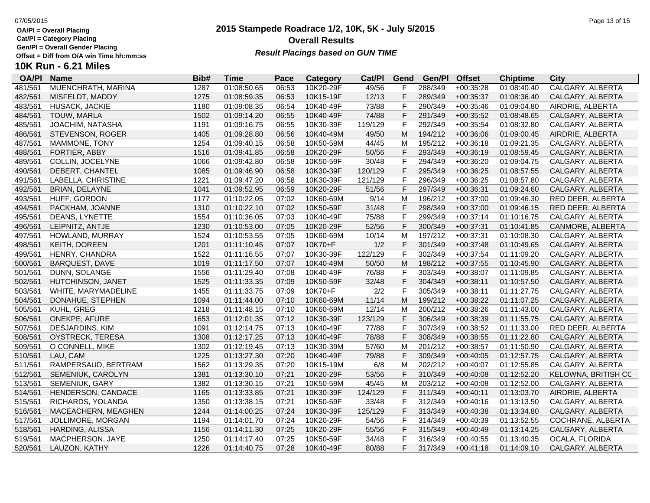**Cat/Pl = Category Placing**

**Gen/Pl = Overall Gender Placing**

### **2015 Stampede Roadrace 1/2, 10K, 5K - July 5/2015** 07/05/2015 Page 13 of 15 **Overall Results Result Placings based on GUN TIME**

| <b>OA/PI</b> | <b>Name</b>              | Bib# | Time        | Pace  | Category  | Cat/PI  | Gend | Gen/P   | <b>Offset</b> | <b>Chiptime</b> | City                |
|--------------|--------------------------|------|-------------|-------|-----------|---------|------|---------|---------------|-----------------|---------------------|
| 481/561      | MUENCHRATH, MARINA       | 1287 | 01:08:50.65 | 06:53 | 10K20-29F | 49/56   |      | 288/349 | $+00:35:28$   | 01:08:40.40     | CALGARY, ALBERTA    |
| 482/561      | MISFELDT, MADDY          | 1275 | 01:08:59.35 | 06:53 | 10K15-19F | 12/13   | F    | 289/349 | $+00:35:37$   | 01:08:36.40     | CALGARY, ALBERTA    |
| 483/561      | HUSACK, JACKIE           | 1180 | 01:09:08.35 | 06:54 | 10K40-49F | 73/88   | F    | 290/349 | $+00:35:46$   | 01:09:04.80     | AIRDRIE, ALBERTA    |
| 484/561      | TOUW, MARLA              | 1502 | 01:09:14.20 | 06:55 | 10K40-49F | 74/88   | F    | 291/349 | $+00:35:52$   | 01:08:48.65     | CALGARY, ALBERTA    |
| 485/561      | JOACHIM, NATASHA         | 1191 | 01:09:16.75 | 06:55 | 10K30-39F | 119/129 | F    | 292/349 | $+00:35:54$   | 01:08:32.80     | CALGARY, ALBERTA    |
| 486/561      | STEVENSON, ROGER         | 1405 | 01:09:28.80 | 06:56 | 10K40-49M | 49/50   | M    | 194/212 | $+00:36:06$   | 01:09:00.45     | AIRDRIE, ALBERTA    |
| 487/561      | MAMMONE, TONY            | 1254 | 01:09:40.15 | 06:58 | 10K50-59M | 44/45   | м    | 195/212 | $+00:36:18$   | 01:09:21.35     | CALGARY, ALBERTA    |
| 488/561      | FORTIER, ABBY            | 1516 | 01:09:41.85 | 06:58 | 10K20-29F | 50/56   | F    | 293/349 | $+00:36:19$   | 01:08:59.45     | CALGARY, ALBERTA    |
| 489/561      | COLLIN, JOCELYNE         | 1066 | 01:09:42.80 | 06:58 | 10K50-59F | 30/48   | F    | 294/349 | $+00:36:20$   | 01:09:04.75     | CALGARY, ALBERTA    |
| 490/561      | DEBERT, CHANTEL          | 1085 | 01:09:46.90 | 06:58 | 10K30-39F | 120/129 | F    | 295/349 | $+00:36:25$   | 01:08:57.55     | CALGARY, ALBERTA    |
| 491/561      | LABELLA, CHRISTINE       | 1221 | 01:09:47.20 | 06:58 | 10K30-39F | 121/129 | F    | 296/349 | $+00:36:25$   | 01:08:57.80     | CALGARY, ALBERTA    |
| 492/561      | <b>BRIAN, DELAYNE</b>    | 1041 | 01:09:52.95 | 06:59 | 10K20-29F | 51/56   | F    | 297/349 | $+00:36:31$   | 01:09:24.60     | CALGARY, ALBERTA    |
| 493/561      | HUFF, GORDON             | 1177 | 01:10:22.05 | 07:02 | 10K60-69M | 9/14    | M    | 196/212 | $+00:37:00$   | 01:09:46.30     | RED DEER, ALBERTA   |
| 494/561      | PACKHAM, JOANNE          | 1310 | 01:10:22.10 | 07:02 | 10K50-59F | 31/48   | F    | 298/349 | $+00:37:00$   | 01:09:46.15     | RED DEER, ALBERTA   |
| 495/561      | DEANS, LYNETTE           | 1554 | 01:10:36.05 | 07:03 | 10K40-49F | 75/88   | F    | 299/349 | $+00:37:14$   | 01:10:16.75     | CALGARY, ALBERTA    |
| 496/561      | LEIPNITZ, ANTJE          | 1230 | 01:10:53.00 | 07:05 | 10K20-29F | 52/56   | F    | 300/349 | $+00:37:31$   | 01:10:41.85     | CANMORE, ALBERTA    |
| 497/561      | HOWLAND, MURRAY          | 1524 | 01:10:53.55 | 07:05 | 10K60-69M | 10/14   | M    | 197/212 | $+00:37:31$   | 01:10:08.30     | CALGARY, ALBERTA    |
| 498/561      | KEITH, DOREEN            | 1201 | 01:11:10.45 | 07:07 | 10K70+F   | 1/2     | F    | 301/349 | $+00:37:48$   | 01:10:49.65     | CALGARY, ALBERTA    |
| 499/561      | HENRY, CHANDRA           | 1522 | 01:11:16.55 | 07:07 | 10K30-39F | 122/129 | F    | 302/349 | $+00:37:54$   | 01:11:09.20     | CALGARY, ALBERTA    |
| 500/561      | <b>BARQUEST, DAVE</b>    | 1019 | 01:11:17.50 | 07:07 | 10K40-49M | 50/50   | M    | 198/212 | $+00:37:55$   | 01:10:45.90     | CALGARY, ALBERTA    |
| 501/561      | DUNN, SOLANGE            | 1556 | 01:11:29.40 | 07:08 | 10K40-49F | 76/88   | F    | 303/349 | $+00:38:07$   | 01:11:09.85     | CALGARY, ALBERTA    |
| 502/561      | HUTCHINSON, JANET        | 1525 | 01:11:33.35 | 07:09 | 10K50-59F | 32/48   | F    | 304/349 | $+00:38:11$   | 01:10:57.50     | CALGARY, ALBERTA    |
| 503/561      | WHITE, MARYMADELINE      | 1455 | 01:11:33.75 | 07:09 | 10K70+F   | 2/2     | F    | 305/349 | $+00:38:11$   | 01:11:27.75     | CALGARY, ALBERTA    |
| 504/561      | DONAHUE, STEPHEN         | 1094 | 01:11:44.00 | 07:10 | 10K60-69M | 11/14   | M    | 199/212 | $+00:38:22$   | 01:11:07.25     | CALGARY, ALBERTA    |
| 505/561      | KUHL, GREG               | 1218 | 01:11:48.15 | 07:10 | 10K60-69M | 12/14   | M    | 200/212 | $+00:38:26$   | 01:11:43.00     | CALGARY, ALBERTA    |
| 506/561      | ONEKPE, AFURE            | 1653 | 01:12:01.35 | 07:12 | 10K30-39F | 123/129 | F    | 306/349 | $+00:38:39$   | 01:11:55.75     | CALGARY, ALBERTA    |
| 507/561      | DESJARDINS, KIM          | 1091 | 01:12:14.75 | 07:13 | 10K40-49F | 77/88   | F    | 307/349 | $+00:38:52$   | 01:11:33.00     | RED DEER, ALBERTA   |
| 508/561      | OYSTRECK, TERESA         | 1308 | 01:12:17.25 | 07:13 | 10K40-49F | 78/88   | F    | 308/349 | $+00:38:55$   | 01:11:22.80     | CALGARY, ALBERTA    |
| 509/561      | O CONNELL, MIKE          | 1302 | 01:12:19.45 | 07:13 | 10K30-39M | 57/60   | M    | 201/212 | $+00:38:57$   | 01:11:50.90     | CALGARY, ALBERTA    |
| 510/561      | LAU, CAM                 | 1225 | 01:13:27.30 | 07:20 | 10K40-49F | 79/88   | F    | 309/349 | $+00:40:05$   | 01:12:57.75     | CALGARY, ALBERTA    |
| 511/561      | RAMPERSAUD, BERTRAM      | 1562 | 01:13:29.35 | 07:20 | 10K15-19M | 6/8     | M    | 202/212 | $+00:40:07$   | 01:12:55.85     | CALGARY, ALBERTA    |
| 512/561      | SEMENIUK, CAROLYN        | 1381 | 01:13:30.10 | 07:21 | 10K20-29F | 53/56   | F    | 310/349 | $+00:40:08$   | 01:12:52.20     | KELOWNA, BRITISH CC |
| 513/561      | SEMENIUK, GARY           | 1382 | 01:13:30.15 | 07:21 | 10K50-59M | 45/45   | M    | 203/212 | $+00:40:08$   | 01:12:52.00     | CALGARY, ALBERTA    |
| 514/561      | HENDERSON, CANDACE       | 1165 | 01:13:33.85 | 07:21 | 10K30-39F | 124/129 | F    | 311/349 | $+00:40:11$   | 01:13:03.70     | AIRDRIE, ALBERTA    |
| 515/561      | RICHARDS, YOLANDA        | 1350 | 01:13:38.15 | 07:21 | 10K50-59F | 33/48   | F    | 312/349 | $+00:40:16$   | 01:13:13.50     | CALGARY, ALBERTA    |
| 516/561      | MACEACHERN, MEAGHEN      | 1244 | 01:14:00.25 | 07:24 | 10K30-39F | 125/129 |      | 313/349 | $+00:40:38$   | 01:13:34.80     | CALGARY, ALBERTA    |
| 517/561      | <b>JOLLIMORE, MORGAN</b> | 1194 | 01:14:01.70 | 07:24 | 10K20-29F | 54/56   | F    | 314/349 | $+00:40:39$   | 01:13:52.55     | COCHRANE, ALBERTA   |
| 518/561      | HARDING, ALISSA          | 1156 | 01:14:11.30 | 07:25 | 10K20-29F | 55/56   | F    | 315/349 | $+00:40:49$   | 01:13:14.25     | CALGARY, ALBERTA    |
| 519/561      | MACPHERSON, JAYE         | 1250 | 01:14:17.40 | 07:25 | 10K50-59F | 34/48   | F    | 316/349 | $+00:40:55$   | 01:13:40.35     | OCALA, FLORIDA      |
| 520/561      | LAUZON, KATHY            | 1226 | 01:14:40.75 | 07:28 | 10K40-49F | 80/88   | F    | 317/349 | $+00:41:18$   | 01:14:09.10     | CALGARY, ALBERTA    |
|              |                          |      |             |       |           |         |      |         |               |                 |                     |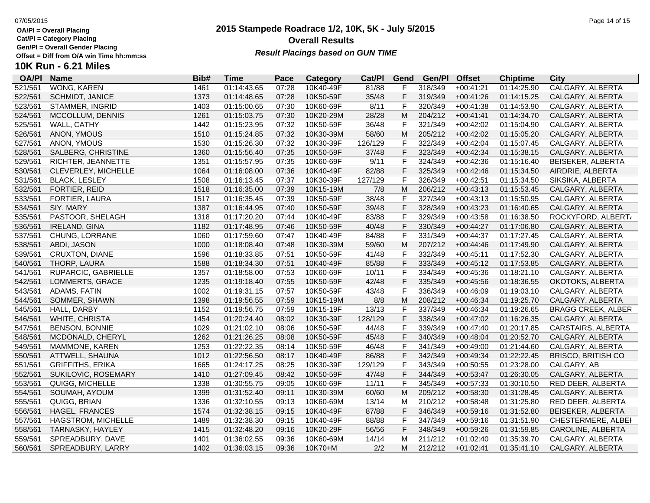**Cat/Pl = Category Placing**

**Gen/Pl = Overall Gender Placing**

## **10K Run - 6.21 Miles**

| <b>OA/PI</b> | <b>Name</b>             | Bib# | <b>Time</b> | Pace  | Category  | Cat/Pl  | Gend         | Gen/Pl  | <b>Offset</b> | <b>Chiptime</b> | <b>City</b>               |
|--------------|-------------------------|------|-------------|-------|-----------|---------|--------------|---------|---------------|-----------------|---------------------------|
| 521/561      | WONG, KAREN             | 1461 | 01:14:43.65 | 07:28 | 10K40-49F | 81/88   | F            | 318/349 | $+00:41:21$   | 01:14:25.90     | CALGARY, ALBERTA          |
| 522/561      | SCHMIDT, JANICE         | 1373 | 01:14:48.65 | 07:28 | 10K50-59F | 35/48   | F            | 319/349 | $+00:41:26$   | 01:14:15.25     | CALGARY, ALBERTA          |
| 523/561      | STAMMER, INGRID         | 1403 | 01:15:00.65 | 07:30 | 10K60-69F | 8/11    | $\mathsf F$  | 320/349 | $+00:41:38$   | 01:14:53.90     | CALGARY, ALBERTA          |
| 524/561      | MCCOLLUM, DENNIS        | 1261 | 01:15:03.75 | 07:30 | 10K20-29M | 28/28   | M            | 204/212 | $+00:41:41$   | 01:14:34.70     | CALGARY, ALBERTA          |
| 525/561      | WALL, CATHY             | 1442 | 01:15:23.95 | 07:32 | 10K50-59F | 36/48   | F            | 321/349 | $+00:42:02$   | 01:15:04.90     | CALGARY, ALBERTA          |
| 526/561      | ANON, YMOUS             | 1510 | 01:15:24.85 | 07:32 | 10K30-39M | 58/60   | M            | 205/212 | $+00:42:02$   | 01:15:05.20     | CALGARY, ALBERTA          |
| 527/561      | ANON, YMOUS             | 1530 | 01:15:26.30 | 07:32 | 10K30-39F | 126/129 | F            | 322/349 | $+00:42:04$   | 01:15:07.45     | CALGARY, ALBERTA          |
| 528/561      | SALBERG, CHRISTINE      | 1360 | 01:15:56.40 | 07:35 | 10K50-59F | 37/48   | F            | 323/349 | $+00:42:34$   | 01:15:38.15     | CALGARY, ALBERTA          |
| 529/561      | RICHTER, JEANNETTE      | 1351 | 01:15:57.95 | 07:35 | 10K60-69F | 9/11    | $\mathsf F$  | 324/349 | $+00:42:36$   | 01:15:16.40     | BEISEKER, ALBERTA         |
| 530/561      | CLEVERLEY, MICHELLE     | 1064 | 01:16:08.00 | 07:36 | 10K40-49F | 82/88   | F            | 325/349 | $+00:42:46$   | 01:15:34.50     | AIRDRIE, ALBERTA          |
| 531/561      | <b>BLACK, LESLEY</b>    | 1508 | 01:16:13.45 | 07:37 | 10K30-39F | 127/129 | F            | 326/349 | $+00:42:51$   | 01:15:34.50     | SIKSIKA, ALBERTA          |
| 532/561      | FORTIER, REID           | 1518 | 01:16:35.00 | 07:39 | 10K15-19M | 7/8     | ${\sf M}$    | 206/212 | $+00:43:13$   | 01:15:53.45     | CALGARY, ALBERTA          |
| 533/561      | FORTIER, LAURA          | 1517 | 01:16:35.45 | 07:39 | 10K50-59F | 38/48   | F            | 327/349 | $+00:43:13$   | 01:15:50.95     | CALGARY, ALBERTA          |
| 534/561      | SIY, MARY               | 1387 | 01:16:44.95 | 07:40 | 10K50-59F | 39/48   | F            | 328/349 | $+00:43:23$   | 01:16:40.65     | CALGARY, ALBERTA          |
| 535/561      | PASTOOR, SHELAGH        | 1318 | 01:17:20.20 | 07:44 | 10K40-49F | 83/88   | $\mathsf{F}$ | 329/349 | $+00:43:58$   | 01:16:38.50     | ROCKYFORD, ALBERT/        |
| 536/561      | IRELAND, GINA           | 1182 | 01:17:48.95 | 07:46 | 10K50-59F | 40/48   | F            | 330/349 | $+00:44:27$   | 01:17:06.80     | CALGARY, ALBERTA          |
| 537/561      | CHUNG, LORRANE          | 1060 | 01:17:59.60 | 07:47 | 10K40-49F | 84/88   | $\mathsf F$  | 331/349 | $+00:44:37$   | 01:17:27.45     | CALGARY, ALBERTA          |
| 538/561      | ABDI, JASON             | 1000 | 01:18:08.40 | 07:48 | 10K30-39M | 59/60   | M            | 207/212 | $+00:44:46$   | 01:17:49.90     | CALGARY, ALBERTA          |
| 539/561      | CRUXTON, DIANE          | 1596 | 01:18:33.85 | 07:51 | 10K50-59F | 41/48   | F            | 332/349 | $+00:45:11$   | 01:17:52.30     | CALGARY, ALBERTA          |
| 540/561      | THORP, LAURA            | 1588 | 01:18:34.30 | 07:51 | 10K40-49F | 85/88   | F            | 333/349 | $+00:45:12$   | 01:17:53.85     | CALGARY, ALBERTA          |
| 541/561      | RUPARCIC, GABRIELLE     | 1357 | 01:18:58.00 | 07:53 | 10K60-69F | 10/11   | F            | 334/349 | $+00:45:36$   | 01:18:21.10     | CALGARY, ALBERTA          |
| 542/561      | LOMMERTS, GRACE         | 1235 | 01:19:18.40 | 07:55 | 10K50-59F | 42/48   | F            | 335/349 | $+00:45:56$   | 01:18:36.55     | OKOTOKS, ALBERTA          |
| 543/561      | ADAMS, FATIN            | 1002 | 01:19:31.15 | 07:57 | 10K50-59F | 43/48   | $\mathsf F$  | 336/349 | $+00:46:09$   | 01:19:03.10     | CALGARY, ALBERTA          |
| 544/561      | SOMMER, SHAWN           | 1398 | 01:19:56.55 | 07:59 | 10K15-19M | 8/8     | ${\sf M}$    | 208/212 | $+00:46:34$   | 01:19:25.70     | CALGARY, ALBERTA          |
| 545/561      | HALL, DARBY             | 1152 | 01:19:56.75 | 07:59 | 10K15-19F | 13/13   | F            | 337/349 | $+00:46:34$   | 01:19:26.65     | <b>BRAGG CREEK, ALBER</b> |
| 546/561      | WHITE, CHRISTA          | 1454 | 01:20:24.40 | 08:02 | 10K30-39F | 128/129 | F            | 338/349 | $+00:47:02$   | 01:16:26.35     | CALGARY, ALBERTA          |
| 547/561      | <b>BENSON, BONNIE</b>   | 1029 | 01:21:02.10 | 08:06 | 10K50-59F | 44/48   | $\mathsf{F}$ | 339/349 | $+00:47:40$   | 01:20:17.85     | CARSTAIRS, ALBERTA        |
| 548/561      | MCDONALD, CHERYL        | 1262 | 01:21:26.25 | 08:08 | 10K50-59F | 45/48   | F            | 340/349 | $+00:48:04$   | 01:20:52.70     | CALGARY, ALBERTA          |
| 549/561      | MAMMONE, KAREN          | 1253 | 01:22:22.35 | 08:14 | 10K50-59F | 46/48   | $\mathsf F$  | 341/349 | $+00:49:00$   | 01:21:44.60     | CALGARY, ALBERTA          |
| 550/561      | ATTWELL, SHAUNA         | 1012 | 01:22:56.50 | 08:17 | 10K40-49F | 86/88   | F            | 342/349 | $+00:49:34$   | 01:22:22.45     | <b>BRISCO, BRITISH CO</b> |
| 551/561      | <b>GRIFFITHS, ERIKA</b> | 1665 | 01:24:17.25 | 08:25 | 10K30-39F | 129/129 | F            | 343/349 | $+00:50:55$   | 01:23:28.00     | CALGARY, AB               |
| 552/561      | SUKILOVIC, ROSEMARY     | 1410 | 01:27:09.45 | 08:42 | 10K50-59F | 47/48   | F            | 344/349 | $+00:53:47$   | 01:26:30.05     | CALGARY, ALBERTA          |
| 553/561      | QUIGG, MICHELLE         | 1338 | 01:30:55.75 | 09:05 | 10K60-69F | 11/11   | $\mathsf{F}$ | 345/349 | $+00:57:33$   | 01:30:10.50     | RED DEER, ALBERTA         |
| 554/561      | SOUMAH, AYOUM           | 1399 | 01:31:52.40 | 09:11 | 10K30-39M | 60/60   | ${\sf M}$    | 209/212 | $+00:58:30$   | 01:31:28.45     | CALGARY, ALBERTA          |
| 555/561      | QUIGG, BRIAN            | 1336 | 01:32:10.55 | 09:13 | 10K60-69M | 13/14   | м            | 210/212 | $+00:58:48$   | 01:31:25.80     | RED DEER, ALBERTA         |
| 556/561      | HAGEL, FRANCES          | 1574 | 01:32:38.15 | 09:15 | 10K40-49F | 87/88   | F            | 346/349 | $+00:59:16$   | 01:31:52.80     | BEISEKER, ALBERTA         |
| 557/561      | HAGSTROM, MICHELLE      | 1489 | 01:32:38.30 | 09:15 | 10K40-49F | 88/88   | F            | 347/349 | $+00:59:16$   | 01:31:51.90     | CHESTERMERE, ALBEI        |
| 558/561      | TARNASKY, HAYLEY        | 1415 | 01:32:48.20 | 09:16 | 10K20-29F | 56/56   | F            | 348/349 | $+00:59:26$   | 01:31:59.85     | CAROLINE, ALBERTA         |
| 559/561      | SPREADBURY, DAVE        | 1401 | 01:36:02.55 | 09:36 | 10K60-69M | 14/14   | M            | 211/212 | $+01:02:40$   | 01:35:39.70     | CALGARY, ALBERTA          |
| 560/561      | SPREADBURY, LARRY       | 1402 | 01:36:03.15 | 09:36 | 10K70+M   | 2/2     | M            | 212/212 | $+01:02:41$   | 01:35:41.10     | CALGARY, ALBERTA          |

## **2015 Stampede Roadrace 1/2, 10K, 5K - July 5/2015 Overall Results**

**Result Placings based on GUN TIME**